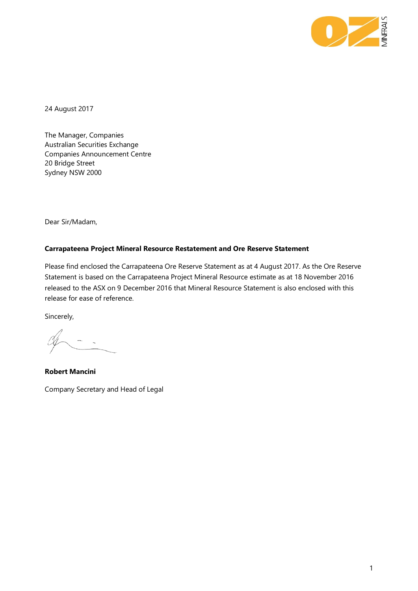

24 August 2017

The Manager, Companies Australian Securities Exchange Companies Announcement Centre 20 Bridge Street Sydney NSW 2000

Dear Sir/Madam,

### **Carrapateena Project Mineral Resource Restatement and Ore Reserve Statement**

Please find enclosed the Carrapateena Ore Reserve Statement as at 4 August 2017. As the Ore Reserve Statement is based on the Carrapateena Project Mineral Resource estimate as at 18 November 2016 released to the ASX on 9 December 2016 that Mineral Resource Statement is also enclosed with this release for ease of reference.

Sincerely,

**Robert Mancini**  Company Secretary and Head of Legal

1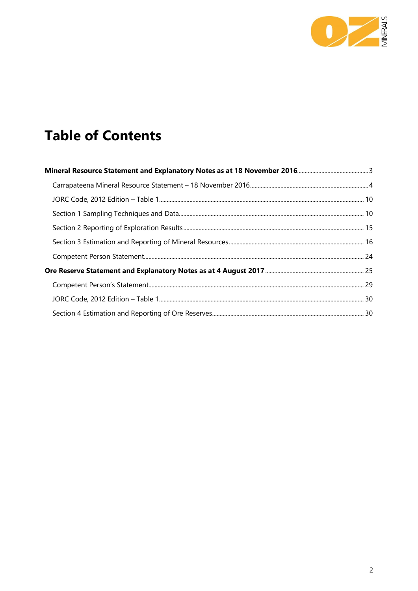

# **Table of Contents**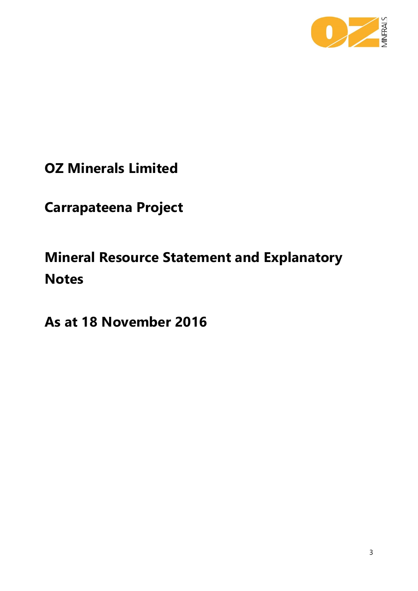

**OZ Minerals Limited**

**Carrapateena Project**

<span id="page-2-0"></span>**Mineral Resource Statement and Explanatory Notes**

**As at 18 November 2016**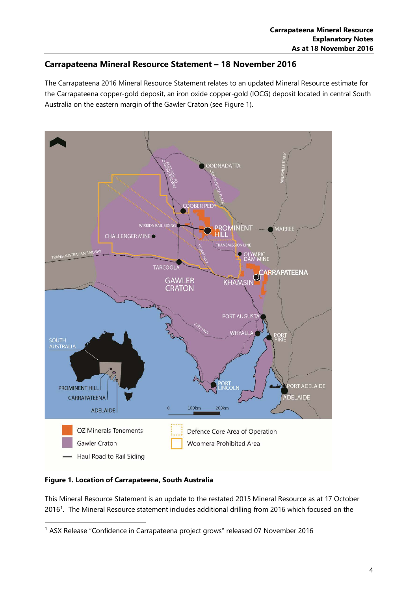## <span id="page-3-0"></span>**Carrapateena Mineral Resource Statement – 18 November 2016**

The Carrapateena 2016 Mineral Resource Statement relates to an updated Mineral Resource estimate for the Carrapateena copper-gold deposit, an iron oxide copper-gold (IOCG) deposit located in central South Australia on the eastern margin of the Gawler Craton (see Figure 1).



**Figure 1. Location of Carrapateena, South Australia**

This Mineral Resource Statement is an update to the restated 2015 Mineral Resource as at 17 October 20[1](#page-3-1)6<sup>1</sup>. The Mineral Resource statement includes additional drilling from 2016 which focused on the

<span id="page-3-1"></span> <sup>1</sup> ASX Release "Confidence in Carrapateena project grows" released 07 November 2016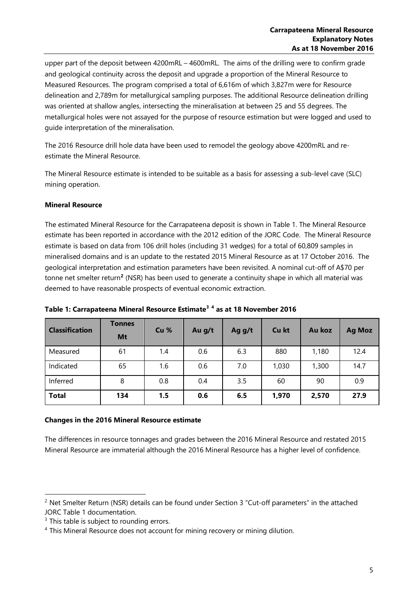upper part of the deposit between 4200mRL – 4600mRL. The aims of the drilling were to confirm grade and geological continuity across the deposit and upgrade a proportion of the Mineral Resource to Measured Resources. The program comprised a total of 6,616m of which 3,827m were for Resource delineation and 2,789m for metallurgical sampling purposes. The additional Resource delineation drilling was oriented at shallow angles, intersecting the mineralisation at between 25 and 55 degrees. The metallurgical holes were not assayed for the purpose of resource estimation but were logged and used to guide interpretation of the mineralisation.

The 2016 Resource drill hole data have been used to remodel the geology above 4200mRL and reestimate the Mineral Resource.

The Mineral Resource estimate is intended to be suitable as a basis for assessing a sub-level cave (SLC) mining operation.

### **Mineral Resource**

The estimated Mineral Resource for the Carrapateena deposit is shown in Table 1. The Mineral Resource estimate has been reported in accordance with the 2012 edition of the JORC Code. The Mineral Resource estimate is based on data from 106 drill holes (including 31 wedges) for a total of 60,809 samples in mineralised domains and is an update to the restated 2015 Mineral Resource as at 17 October 2016. The geological interpretation and estimation parameters have been revisited. A nominal cut-off of A\$70 per tonne net smelter return**[2](#page-4-0)** (NSR) has been used to generate a continuity shape in which all material was deemed to have reasonable prospects of eventual economic extraction.

| <b>Classification</b> | <b>Tonnes</b><br>Mt | Cu <sub>%</sub> | Au g/t | Ag g/t | Cu kt | Au koz | <b>Ag Moz</b> |
|-----------------------|---------------------|-----------------|--------|--------|-------|--------|---------------|
| Measured              | 61                  | 1.4             | 0.6    | 6.3    | 880   | 1,180  | 12.4          |
| Indicated             | 65                  | 1.6             | 0.6    | 7.0    | 1,030 | 1,300  | 14.7          |
| Inferred              | 8                   | 0.8             | 0.4    | 3.5    | 60    | 90     | 0.9           |
| <b>Total</b>          | 134                 | 1.5             | 0.6    | 6.5    | 1,970 | 2,570  | 27.9          |

**Table 1: Carrapateena Mineral Resource Estimate[3](#page-4-1) [4](#page-4-2) as at 18 November 2016**

### **Changes in the 2016 Mineral Resource estimate**

The differences in resource tonnages and grades between the 2016 Mineral Resource and restated 2015 Mineral Resource are immaterial although the 2016 Mineral Resource has a higher level of confidence.

<span id="page-4-0"></span> $2$  Net Smelter Return (NSR) details can be found under Section 3 "Cut-off parameters" in the attached JORC Table 1 documentation.

<span id="page-4-1"></span> $3$  This table is subject to rounding errors.

<span id="page-4-2"></span><sup>&</sup>lt;sup>4</sup> This Mineral Resource does not account for mining recovery or mining dilution.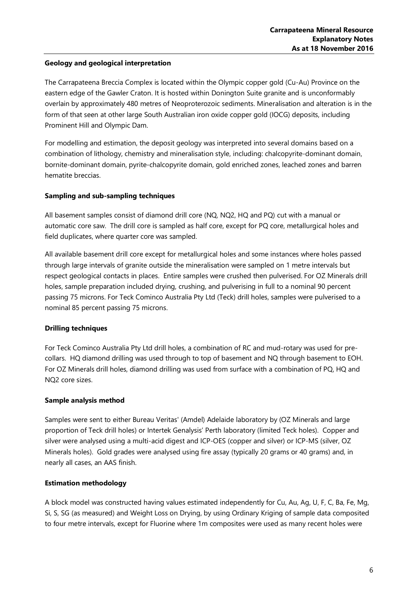### **Geology and geological interpretation**

The Carrapateena Breccia Complex is located within the Olympic copper gold (Cu-Au) Province on the eastern edge of the Gawler Craton. It is hosted within Donington Suite granite and is unconformably overlain by approximately 480 metres of Neoproterozoic sediments. Mineralisation and alteration is in the form of that seen at other large South Australian iron oxide copper gold (IOCG) deposits, including Prominent Hill and Olympic Dam.

For modelling and estimation, the deposit geology was interpreted into several domains based on a combination of lithology, chemistry and mineralisation style, including: chalcopyrite-dominant domain, bornite-dominant domain, pyrite-chalcopyrite domain, gold enriched zones, leached zones and barren hematite breccias.

### **Sampling and sub-sampling techniques**

All basement samples consist of diamond drill core (NQ, NQ2, HQ and PQ) cut with a manual or automatic core saw. The drill core is sampled as half core, except for PQ core, metallurgical holes and field duplicates, where quarter core was sampled.

All available basement drill core except for metallurgical holes and some instances where holes passed through large intervals of granite outside the mineralisation were sampled on 1 metre intervals but respect geological contacts in places. Entire samples were crushed then pulverised. For OZ Minerals drill holes, sample preparation included drying, crushing, and pulverising in full to a nominal 90 percent passing 75 microns. For Teck Cominco Australia Pty Ltd (Teck) drill holes, samples were pulverised to a nominal 85 percent passing 75 microns.

### **Drilling techniques**

For Teck Cominco Australia Pty Ltd drill holes, a combination of RC and mud-rotary was used for precollars. HQ diamond drilling was used through to top of basement and NQ through basement to EOH. For OZ Minerals drill holes, diamond drilling was used from surface with a combination of PQ, HQ and NQ2 core sizes.

### **Sample analysis method**

Samples were sent to either Bureau Veritas' (Amdel) Adelaide laboratory by (OZ Minerals and large proportion of Teck drill holes) or Intertek Genalysis' Perth laboratory (limited Teck holes). Copper and silver were analysed using a multi-acid digest and ICP-OES (copper and silver) or ICP-MS (silver, OZ Minerals holes). Gold grades were analysed using fire assay (typically 20 grams or 40 grams) and, in nearly all cases, an AAS finish.

### **Estimation methodology**

A block model was constructed having values estimated independently for Cu, Au, Ag, U, F, C, Ba, Fe, Mg, Si, S, SG (as measured) and Weight Loss on Drying, by using Ordinary Kriging of sample data composited to four metre intervals, except for Fluorine where 1m composites were used as many recent holes were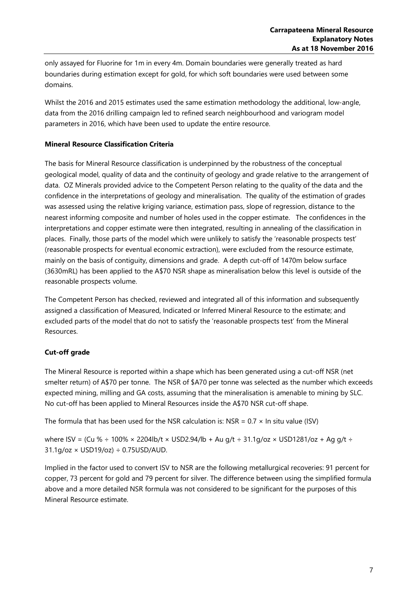only assayed for Fluorine for 1m in every 4m. Domain boundaries were generally treated as hard boundaries during estimation except for gold, for which soft boundaries were used between some domains.

Whilst the 2016 and 2015 estimates used the same estimation methodology the additional, low-angle, data from the 2016 drilling campaign led to refined search neighbourhood and variogram model parameters in 2016, which have been used to update the entire resource.

### **Mineral Resource Classification Criteria**

The basis for Mineral Resource classification is underpinned by the robustness of the conceptual geological model, quality of data and the continuity of geology and grade relative to the arrangement of data. OZ Minerals provided advice to the Competent Person relating to the quality of the data and the confidence in the interpretations of geology and mineralisation. The quality of the estimation of grades was assessed using the relative kriging variance, estimation pass, slope of regression, distance to the nearest informing composite and number of holes used in the copper estimate. The confidences in the interpretations and copper estimate were then integrated, resulting in annealing of the classification in places. Finally, those parts of the model which were unlikely to satisfy the 'reasonable prospects test' (reasonable prospects for eventual economic extraction), were excluded from the resource estimate, mainly on the basis of contiguity, dimensions and grade. A depth cut-off of 1470m below surface (3630mRL) has been applied to the A\$70 NSR shape as mineralisation below this level is outside of the reasonable prospects volume.

The Competent Person has checked, reviewed and integrated all of this information and subsequently assigned a classification of Measured, Indicated or Inferred Mineral Resource to the estimate; and excluded parts of the model that do not to satisfy the 'reasonable prospects test' from the Mineral Resources.

### **Cut-off grade**

The Mineral Resource is reported within a shape which has been generated using a cut-off NSR (net smelter return) of A\$70 per tonne. The NSR of \$A70 per tonne was selected as the number which exceeds expected mining, milling and GA costs, assuming that the mineralisation is amenable to mining by SLC. No cut-off has been applied to Mineral Resources inside the A\$70 NSR cut-off shape.

The formula that has been used for the NSR calculation is: NSR =  $0.7 \times$  In situ value (ISV)

where ISV = (Cu %  $\div$  100% × 2204lb/t × USD2.94/lb + Au g/t  $\div$  31.1g/oz × USD1281/oz + Ag g/t  $\div$  $31.1g$ /oz × USD19/oz) ÷ 0.75USD/AUD.

Implied in the factor used to convert ISV to NSR are the following metallurgical recoveries: 91 percent for copper, 73 percent for gold and 79 percent for silver. The difference between using the simplified formula above and a more detailed NSR formula was not considered to be significant for the purposes of this Mineral Resource estimate.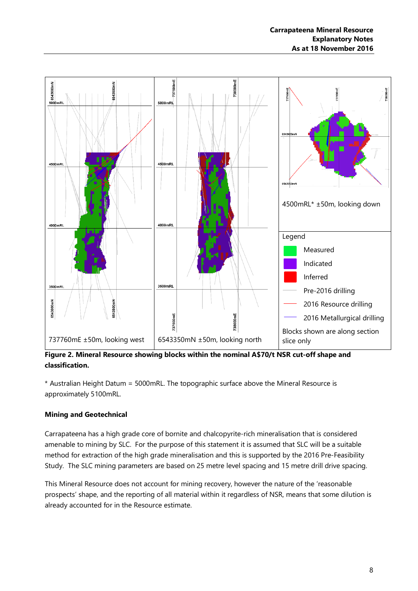

**Figure 2. Mineral Resource showing blocks within the nominal A\$70/t NSR cut-off shape and classification.**

\* Australian Height Datum = 5000mRL. The topographic surface above the Mineral Resource is approximately 5100mRL.

### **Mining and Geotechnical**

Carrapateena has a high grade core of bornite and chalcopyrite-rich mineralisation that is considered amenable to mining by SLC. For the purpose of this statement it is assumed that SLC will be a suitable method for extraction of the high grade mineralisation and this is supported by the 2016 Pre-Feasibility Study. The SLC mining parameters are based on 25 metre level spacing and 15 metre drill drive spacing.

This Mineral Resource does not account for mining recovery, however the nature of the 'reasonable prospects' shape, and the reporting of all material within it regardless of NSR, means that some dilution is already accounted for in the Resource estimate.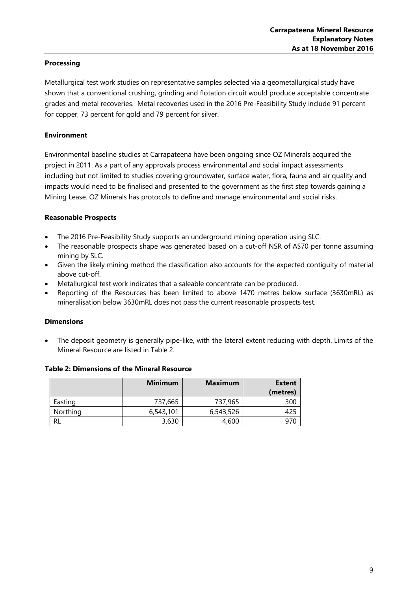### **Processing**

Metallurgical test work studies on representative samples selected via a geometallurgical study have shown that a conventional crushing, grinding and flotation circuit would produce acceptable concentrate grades and metal recoveries. Metal recoveries used in the 2016 Pre-Feasibility Study include 91 percent for copper, 73 percent for gold and 79 percent for silver.

### **Environment**

Environmental baseline studies at Carrapateena have been ongoing since OZ Minerals acquired the project in 2011. As a part of any approvals process environmental and social impact assessments including but not limited to studies covering groundwater, surface water, flora, fauna and air quality and impacts would need to be finalised and presented to the government as the first step towards gaining a Mining Lease. OZ Minerals has protocols to define and manage environmental and social risks.

### **Reasonable Prospects**

- The 2016 Pre-Feasibility Study supports an underground mining operation using SLC.
- The reasonable prospects shape was generated based on a cut-off NSR of A\$70 per tonne assuming mining by SLC.
- Given the likely mining method the classification also accounts for the expected contiguity of material above cut-off.
- Metallurgical test work indicates that a saleable concentrate can be produced.
- Reporting of the Resources has been limited to above 1470 metres below surface (3630mRL) as mineralisation below 3630mRL does not pass the current reasonable prospects test.

### **Dimensions**

The deposit geometry is generally pipe-like, with the lateral extent reducing with depth. Limits of the Mineral Resource are listed in Table 2.

|          | <b>Minimum</b> | <b>Maximum</b> | <b>Extent</b><br>(metres) |
|----------|----------------|----------------|---------------------------|
| Easting  | 737,665        | 737,965        | 300                       |
| Northing | 6,543,101      | 6,543,526      |                           |
| RL       | 3,630          | 4,600          |                           |

### **Table 2: Dimensions of the Mineral Resource**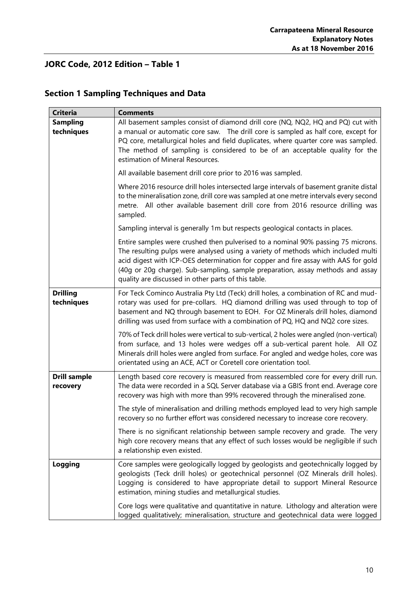# <span id="page-9-0"></span>**JORC Code, 2012 Edition – Table 1**

<span id="page-9-1"></span>

|  |  | <b>Section 1 Sampling Techniques and Data</b> |  |
|--|--|-----------------------------------------------|--|
|--|--|-----------------------------------------------|--|

| <b>Criteria</b>                 | <b>Comments</b>                                                                                                                                                                                                                                                                                                                                                                                      |
|---------------------------------|------------------------------------------------------------------------------------------------------------------------------------------------------------------------------------------------------------------------------------------------------------------------------------------------------------------------------------------------------------------------------------------------------|
| <b>Sampling</b><br>techniques   | All basement samples consist of diamond drill core (NQ, NQ2, HQ and PQ) cut with<br>a manual or automatic core saw. The drill core is sampled as half core, except for<br>PQ core, metallurgical holes and field duplicates, where quarter core was sampled.<br>The method of sampling is considered to be of an acceptable quality for the<br>estimation of Mineral Resources.                      |
|                                 | All available basement drill core prior to 2016 was sampled.                                                                                                                                                                                                                                                                                                                                         |
|                                 | Where 2016 resource drill holes intersected large intervals of basement granite distal<br>to the mineralisation zone, drill core was sampled at one metre intervals every second<br>metre. All other available basement drill core from 2016 resource drilling was<br>sampled.                                                                                                                       |
|                                 | Sampling interval is generally 1m but respects geological contacts in places.                                                                                                                                                                                                                                                                                                                        |
|                                 | Entire samples were crushed then pulverised to a nominal 90% passing 75 microns.<br>The resulting pulps were analysed using a variety of methods which included multi<br>acid digest with ICP-OES determination for copper and fire assay with AAS for gold<br>(40g or 20g charge). Sub-sampling, sample preparation, assay methods and assay<br>quality are discussed in other parts of this table. |
| <b>Drilling</b><br>techniques   | For Teck Cominco Australia Pty Ltd (Teck) drill holes, a combination of RC and mud-<br>rotary was used for pre-collars. HQ diamond drilling was used through to top of<br>basement and NQ through basement to EOH. For OZ Minerals drill holes, diamond<br>drilling was used from surface with a combination of PQ, HQ and NQ2 core sizes.                                                           |
|                                 | 70% of Teck drill holes were vertical to sub-vertical, 2 holes were angled (non-vertical)<br>from surface, and 13 holes were wedges off a sub-vertical parent hole. All OZ<br>Minerals drill holes were angled from surface. For angled and wedge holes, core was<br>orientated using an ACE, ACT or Coretell core orientation tool.                                                                 |
| <b>Drill sample</b><br>recovery | Length based core recovery is measured from reassembled core for every drill run.<br>The data were recorded in a SQL Server database via a GBIS front end. Average core<br>recovery was high with more than 99% recovered through the mineralised zone.                                                                                                                                              |
|                                 | The style of mineralisation and drilling methods employed lead to very high sample<br>recovery so no further effort was considered necessary to increase core recovery.                                                                                                                                                                                                                              |
|                                 | There is no significant relationship between sample recovery and grade. The very<br>high core recovery means that any effect of such losses would be negligible if such<br>a relationship even existed.                                                                                                                                                                                              |
| <b>Logging</b>                  | Core samples were geologically logged by geologists and geotechnically logged by<br>geologists (Teck drill holes) or geotechnical personnel (OZ Minerals drill holes).<br>Logging is considered to have appropriate detail to support Mineral Resource<br>estimation, mining studies and metallurgical studies.                                                                                      |
|                                 | Core logs were qualitative and quantitative in nature. Lithology and alteration were<br>logged qualitatively; mineralisation, structure and geotechnical data were logged                                                                                                                                                                                                                            |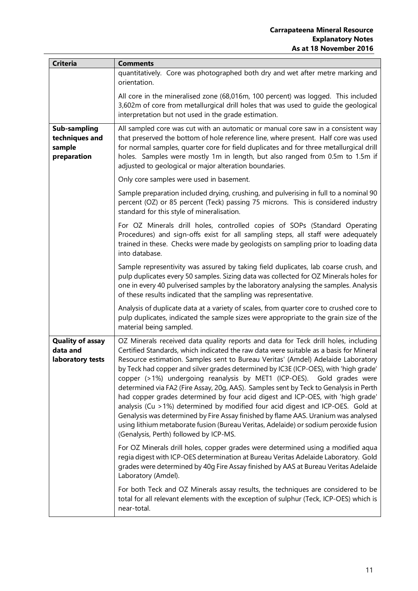| <b>Criteria</b>                                         | <b>Comments</b>                                                                                                                                                                                                                                                                                                                                                                                                                                                                                                                                                                                                                                                                                                                                                                                                                                                                                                                                                                                                                                                                                                                                                                                                   |
|---------------------------------------------------------|-------------------------------------------------------------------------------------------------------------------------------------------------------------------------------------------------------------------------------------------------------------------------------------------------------------------------------------------------------------------------------------------------------------------------------------------------------------------------------------------------------------------------------------------------------------------------------------------------------------------------------------------------------------------------------------------------------------------------------------------------------------------------------------------------------------------------------------------------------------------------------------------------------------------------------------------------------------------------------------------------------------------------------------------------------------------------------------------------------------------------------------------------------------------------------------------------------------------|
|                                                         | quantitatively. Core was photographed both dry and wet after metre marking and<br>orientation.                                                                                                                                                                                                                                                                                                                                                                                                                                                                                                                                                                                                                                                                                                                                                                                                                                                                                                                                                                                                                                                                                                                    |
|                                                         | All core in the mineralised zone (68,016m, 100 percent) was logged. This included<br>3,602m of core from metallurgical drill holes that was used to guide the geological<br>interpretation but not used in the grade estimation.                                                                                                                                                                                                                                                                                                                                                                                                                                                                                                                                                                                                                                                                                                                                                                                                                                                                                                                                                                                  |
| Sub-sampling<br>techniques and<br>sample<br>preparation | All sampled core was cut with an automatic or manual core saw in a consistent way<br>that preserved the bottom of hole reference line, where present. Half core was used<br>for normal samples, quarter core for field duplicates and for three metallurgical drill<br>holes. Samples were mostly 1m in length, but also ranged from 0.5m to 1.5m if<br>adjusted to geological or major alteration boundaries.                                                                                                                                                                                                                                                                                                                                                                                                                                                                                                                                                                                                                                                                                                                                                                                                    |
|                                                         | Only core samples were used in basement.                                                                                                                                                                                                                                                                                                                                                                                                                                                                                                                                                                                                                                                                                                                                                                                                                                                                                                                                                                                                                                                                                                                                                                          |
|                                                         | Sample preparation included drying, crushing, and pulverising in full to a nominal 90<br>percent (OZ) or 85 percent (Teck) passing 75 microns. This is considered industry<br>standard for this style of mineralisation.                                                                                                                                                                                                                                                                                                                                                                                                                                                                                                                                                                                                                                                                                                                                                                                                                                                                                                                                                                                          |
|                                                         | For OZ Minerals drill holes, controlled copies of SOPs (Standard Operating<br>Procedures) and sign-offs exist for all sampling steps, all staff were adequately<br>trained in these. Checks were made by geologists on sampling prior to loading data<br>into database.                                                                                                                                                                                                                                                                                                                                                                                                                                                                                                                                                                                                                                                                                                                                                                                                                                                                                                                                           |
|                                                         | Sample representivity was assured by taking field duplicates, lab coarse crush, and<br>pulp duplicates every 50 samples. Sizing data was collected for OZ Minerals holes for<br>one in every 40 pulverised samples by the laboratory analysing the samples. Analysis<br>of these results indicated that the sampling was representative.                                                                                                                                                                                                                                                                                                                                                                                                                                                                                                                                                                                                                                                                                                                                                                                                                                                                          |
|                                                         | Analysis of duplicate data at a variety of scales, from quarter core to crushed core to<br>pulp duplicates, indicated the sample sizes were appropriate to the grain size of the<br>material being sampled.                                                                                                                                                                                                                                                                                                                                                                                                                                                                                                                                                                                                                                                                                                                                                                                                                                                                                                                                                                                                       |
| <b>Quality of assay</b><br>data and<br>laboratory tests | OZ Minerals received data quality reports and data for Teck drill holes, including<br>Certified Standards, which indicated the raw data were suitable as a basis for Mineral<br>Resource estimation. Samples sent to Bureau Veritas' (Amdel) Adelaide Laboratory<br>by Teck had copper and silver grades determined by IC3E (ICP-OES), with 'high grade'<br>copper (>1%) undergoing reanalysis by MET1 (ICP-OES). Gold grades were<br>determined via FA2 (Fire Assay, 20g, AAS). Samples sent by Teck to Genalysis in Perth<br>had copper grades determined by four acid digest and ICP-OES, with 'high grade'<br>analysis (Cu >1%) determined by modified four acid digest and ICP-OES. Gold at<br>Genalysis was determined by Fire Assay finished by flame AAS. Uranium was analysed<br>using lithium metaborate fusion (Bureau Veritas, Adelaide) or sodium peroxide fusion<br>(Genalysis, Perth) followed by ICP-MS.<br>For OZ Minerals drill holes, copper grades were determined using a modified aqua<br>regia digest with ICP-OES determination at Bureau Veritas Adelaide Laboratory. Gold<br>grades were determined by 40g Fire Assay finished by AAS at Bureau Veritas Adelaide<br>Laboratory (Amdel). |
|                                                         | For both Teck and OZ Minerals assay results, the techniques are considered to be<br>total for all relevant elements with the exception of sulphur (Teck, ICP-OES) which is<br>near-total.                                                                                                                                                                                                                                                                                                                                                                                                                                                                                                                                                                                                                                                                                                                                                                                                                                                                                                                                                                                                                         |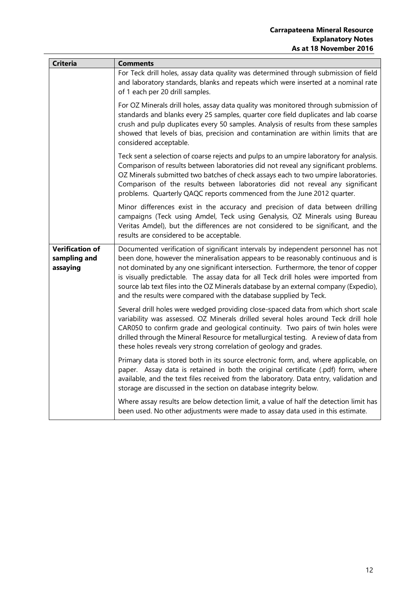| <b>Criteria</b>                                    | <b>Comments</b>                                                                                                                                                                                                                                                                                                                                                                                                                                                                                                   |
|----------------------------------------------------|-------------------------------------------------------------------------------------------------------------------------------------------------------------------------------------------------------------------------------------------------------------------------------------------------------------------------------------------------------------------------------------------------------------------------------------------------------------------------------------------------------------------|
|                                                    | For Teck drill holes, assay data quality was determined through submission of field<br>and laboratory standards, blanks and repeats which were inserted at a nominal rate<br>of 1 each per 20 drill samples.                                                                                                                                                                                                                                                                                                      |
|                                                    | For OZ Minerals drill holes, assay data quality was monitored through submission of<br>standards and blanks every 25 samples, quarter core field duplicates and lab coarse<br>crush and pulp duplicates every 50 samples. Analysis of results from these samples<br>showed that levels of bias, precision and contamination are within limits that are<br>considered acceptable.                                                                                                                                  |
|                                                    | Teck sent a selection of coarse rejects and pulps to an umpire laboratory for analysis.<br>Comparison of results between laboratories did not reveal any significant problems.<br>OZ Minerals submitted two batches of check assays each to two umpire laboratories.<br>Comparison of the results between laboratories did not reveal any significant<br>problems. Quarterly QAQC reports commenced from the June 2012 quarter.                                                                                   |
|                                                    | Minor differences exist in the accuracy and precision of data between drilling<br>campaigns (Teck using Amdel, Teck using Genalysis, OZ Minerals using Bureau<br>Veritas Amdel), but the differences are not considered to be significant, and the<br>results are considered to be acceptable.                                                                                                                                                                                                                    |
| <b>Verification of</b><br>sampling and<br>assaying | Documented verification of significant intervals by independent personnel has not<br>been done, however the mineralisation appears to be reasonably continuous and is<br>not dominated by any one significant intersection. Furthermore, the tenor of copper<br>is visually predictable. The assay data for all Teck drill holes were imported from<br>source lab text files into the OZ Minerals database by an external company (Expedio),<br>and the results were compared with the database supplied by Teck. |
|                                                    | Several drill holes were wedged providing close-spaced data from which short scale<br>variability was assessed. OZ Minerals drilled several holes around Teck drill hole<br>CAR050 to confirm grade and geological continuity. Two pairs of twin holes were<br>drilled through the Mineral Resource for metallurgical testing. A review of data from<br>these holes reveals very strong correlation of geology and grades.                                                                                        |
|                                                    | Primary data is stored both in its source electronic form, and, where applicable, on<br>paper. Assay data is retained in both the original certificate (.pdf) form, where<br>available, and the text files received from the laboratory. Data entry, validation and<br>storage are discussed in the section on database integrity below.                                                                                                                                                                          |
|                                                    | Where assay results are below detection limit, a value of half the detection limit has<br>been used. No other adjustments were made to assay data used in this estimate.                                                                                                                                                                                                                                                                                                                                          |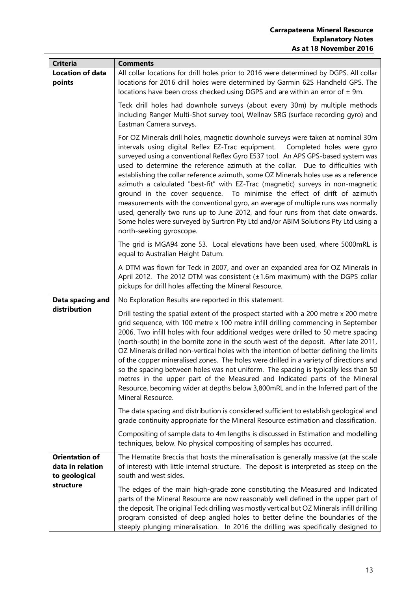| <b>Criteria</b>                                            | <b>Comments</b>                                                                                                                                                                                                                                                                                                                                                                                                                                                                                                                                                                                                                                                                                                                                                                                                                                                                         |
|------------------------------------------------------------|-----------------------------------------------------------------------------------------------------------------------------------------------------------------------------------------------------------------------------------------------------------------------------------------------------------------------------------------------------------------------------------------------------------------------------------------------------------------------------------------------------------------------------------------------------------------------------------------------------------------------------------------------------------------------------------------------------------------------------------------------------------------------------------------------------------------------------------------------------------------------------------------|
| <b>Location of data</b><br>points                          | All collar locations for drill holes prior to 2016 were determined by DGPS. All collar<br>locations for 2016 drill holes were determined by Garmin 62S Handheld GPS. The<br>locations have been cross checked using DGPS and are within an error of $\pm$ 9m.                                                                                                                                                                                                                                                                                                                                                                                                                                                                                                                                                                                                                           |
|                                                            | Teck drill holes had downhole surveys (about every 30m) by multiple methods<br>including Ranger Multi-Shot survey tool, Wellnav SRG (surface recording gyro) and<br>Eastman Camera surveys.                                                                                                                                                                                                                                                                                                                                                                                                                                                                                                                                                                                                                                                                                             |
|                                                            | For OZ Minerals drill holes, magnetic downhole surveys were taken at nominal 30m<br>intervals using digital Reflex EZ-Trac equipment.  Completed holes were gyro<br>surveyed using a conventional Reflex Gyro E537 tool. An APS GPS-based system was<br>used to determine the reference azimuth at the collar. Due to difficulties with<br>establishing the collar reference azimuth, some OZ Minerals holes use as a reference<br>azimuth a calculated "best-fit" with EZ-Trac (magnetic) surveys in non-magnetic<br>ground in the cover sequence. To minimise the effect of drift of azimuth<br>measurements with the conventional gyro, an average of multiple runs was normally<br>used, generally two runs up to June 2012, and four runs from that date onwards.<br>Some holes were surveyed by Surtron Pty Ltd and/or ABIM Solutions Pty Ltd using a<br>north-seeking gyroscope. |
|                                                            | The grid is MGA94 zone 53. Local elevations have been used, where 5000mRL is<br>equal to Australian Height Datum.                                                                                                                                                                                                                                                                                                                                                                                                                                                                                                                                                                                                                                                                                                                                                                       |
|                                                            | A DTM was flown for Teck in 2007, and over an expanded area for OZ Minerals in<br>April 2012. The 2012 DTM was consistent (±1.6m maximum) with the DGPS collar<br>pickups for drill holes affecting the Mineral Resource.                                                                                                                                                                                                                                                                                                                                                                                                                                                                                                                                                                                                                                                               |
| Data spacing and                                           | No Exploration Results are reported in this statement.                                                                                                                                                                                                                                                                                                                                                                                                                                                                                                                                                                                                                                                                                                                                                                                                                                  |
| distribution                                               | Drill testing the spatial extent of the prospect started with a 200 metre x 200 metre<br>grid sequence, with 100 metre x 100 metre infill drilling commencing in September<br>2006. Two infill holes with four additional wedges were drilled to 50 metre spacing<br>(north-south) in the bornite zone in the south west of the deposit. After late 2011,<br>OZ Minerals drilled non-vertical holes with the intention of better defining the limits<br>of the copper mineralised zones. The holes were drilled in a variety of directions and<br>so the spacing between holes was not uniform. The spacing is typically less than 50<br>metres in the upper part of the Measured and Indicated parts of the Mineral<br>Resource, becoming wider at depths below 3,800mRL and in the Inferred part of the<br>Mineral Resource.                                                          |
|                                                            | The data spacing and distribution is considered sufficient to establish geological and<br>grade continuity appropriate for the Mineral Resource estimation and classification.                                                                                                                                                                                                                                                                                                                                                                                                                                                                                                                                                                                                                                                                                                          |
|                                                            | Compositing of sample data to 4m lengths is discussed in Estimation and modelling<br>techniques, below. No physical compositing of samples has occurred.                                                                                                                                                                                                                                                                                                                                                                                                                                                                                                                                                                                                                                                                                                                                |
| <b>Orientation of</b><br>data in relation<br>to geological | The Hematite Breccia that hosts the mineralisation is generally massive (at the scale<br>of interest) with little internal structure. The deposit is interpreted as steep on the<br>south and west sides.                                                                                                                                                                                                                                                                                                                                                                                                                                                                                                                                                                                                                                                                               |
| structure                                                  | The edges of the main high-grade zone constituting the Measured and Indicated<br>parts of the Mineral Resource are now reasonably well defined in the upper part of<br>the deposit. The original Teck drilling was mostly vertical but OZ Minerals infill drilling<br>program consisted of deep angled holes to better define the boundaries of the<br>steeply plunging mineralisation. In 2016 the drilling was specifically designed to                                                                                                                                                                                                                                                                                                                                                                                                                                               |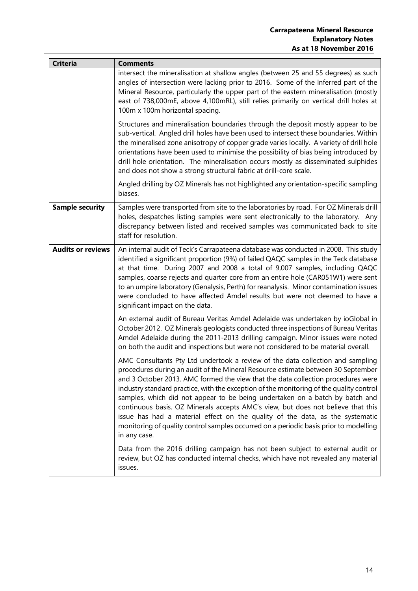| <b>Criteria</b>          | <b>Comments</b>                                                                                                                                                                                                                                                                                                                                                                                                                                                                                                                                                                                                                                                                                                 |
|--------------------------|-----------------------------------------------------------------------------------------------------------------------------------------------------------------------------------------------------------------------------------------------------------------------------------------------------------------------------------------------------------------------------------------------------------------------------------------------------------------------------------------------------------------------------------------------------------------------------------------------------------------------------------------------------------------------------------------------------------------|
|                          | intersect the mineralisation at shallow angles (between 25 and 55 degrees) as such<br>angles of intersection were lacking prior to 2016. Some of the Inferred part of the<br>Mineral Resource, particularly the upper part of the eastern mineralisation (mostly<br>east of 738,000mE, above 4,100mRL), still relies primarily on vertical drill holes at<br>100m x 100m horizontal spacing.                                                                                                                                                                                                                                                                                                                    |
|                          | Structures and mineralisation boundaries through the deposit mostly appear to be<br>sub-vertical. Angled drill holes have been used to intersect these boundaries. Within<br>the mineralised zone anisotropy of copper grade varies locally. A variety of drill hole<br>orientations have been used to minimise the possibility of bias being introduced by<br>drill hole orientation. The mineralisation occurs mostly as disseminated sulphides<br>and does not show a strong structural fabric at drill-core scale.                                                                                                                                                                                          |
|                          | Angled drilling by OZ Minerals has not highlighted any orientation-specific sampling<br>biases.                                                                                                                                                                                                                                                                                                                                                                                                                                                                                                                                                                                                                 |
| <b>Sample security</b>   | Samples were transported from site to the laboratories by road. For OZ Minerals drill<br>holes, despatches listing samples were sent electronically to the laboratory. Any<br>discrepancy between listed and received samples was communicated back to site<br>staff for resolution.                                                                                                                                                                                                                                                                                                                                                                                                                            |
| <b>Audits or reviews</b> | An internal audit of Teck's Carrapateena database was conducted in 2008. This study<br>identified a significant proportion (9%) of failed QAQC samples in the Teck database<br>at that time. During 2007 and 2008 a total of 9,007 samples, including QAQC<br>samples, coarse rejects and quarter core from an entire hole (CAR051W1) were sent<br>to an umpire laboratory (Genalysis, Perth) for reanalysis. Minor contamination issues<br>were concluded to have affected Amdel results but were not deemed to have a<br>significant impact on the data.                                                                                                                                                      |
|                          | An external audit of Bureau Veritas Amdel Adelaide was undertaken by ioGlobal in<br>October 2012. OZ Minerals geologists conducted three inspections of Bureau Veritas<br>Amdel Adelaide during the 2011-2013 drilling campaign. Minor issues were noted<br>on both the audit and inspections but were not considered to be material overall.                                                                                                                                                                                                                                                                                                                                                                   |
|                          | AMC Consultants Pty Ltd undertook a review of the data collection and sampling<br>procedures during an audit of the Mineral Resource estimate between 30 September<br>and 3 October 2013. AMC formed the view that the data collection procedures were<br>industry standard practice, with the exception of the monitoring of the quality control<br>samples, which did not appear to be being undertaken on a batch by batch and<br>continuous basis. OZ Minerals accepts AMC's view, but does not believe that this<br>issue has had a material effect on the quality of the data, as the systematic<br>monitoring of quality control samples occurred on a periodic basis prior to modelling<br>in any case. |
|                          | Data from the 2016 drilling campaign has not been subject to external audit or<br>review, but OZ has conducted internal checks, which have not revealed any material<br>issues.                                                                                                                                                                                                                                                                                                                                                                                                                                                                                                                                 |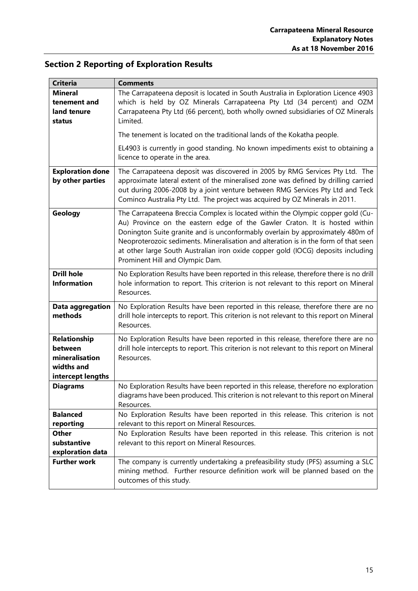# <span id="page-14-0"></span>**Section 2 Reporting of Exploration Results**

| <b>Criteria</b>                                                              | <b>Comments</b>                                                                                                                                                                                                                                                                                                                                                                                                                                               |
|------------------------------------------------------------------------------|---------------------------------------------------------------------------------------------------------------------------------------------------------------------------------------------------------------------------------------------------------------------------------------------------------------------------------------------------------------------------------------------------------------------------------------------------------------|
| <b>Mineral</b><br>tenement and<br>land tenure<br>status                      | The Carrapateena deposit is located in South Australia in Exploration Licence 4903<br>which is held by OZ Minerals Carrapateena Pty Ltd (34 percent) and OZM<br>Carrapateena Pty Ltd (66 percent), both wholly owned subsidiaries of OZ Minerals<br>Limited.                                                                                                                                                                                                  |
|                                                                              | The tenement is located on the traditional lands of the Kokatha people.                                                                                                                                                                                                                                                                                                                                                                                       |
|                                                                              | EL4903 is currently in good standing. No known impediments exist to obtaining a<br>licence to operate in the area.                                                                                                                                                                                                                                                                                                                                            |
| <b>Exploration done</b><br>by other parties                                  | The Carrapateena deposit was discovered in 2005 by RMG Services Pty Ltd. The<br>approximate lateral extent of the mineralised zone was defined by drilling carried<br>out during 2006-2008 by a joint venture between RMG Services Pty Ltd and Teck<br>Cominco Australia Pty Ltd. The project was acquired by OZ Minerals in 2011.                                                                                                                            |
| Geology                                                                      | The Carrapateena Breccia Complex is located within the Olympic copper gold (Cu-<br>Au) Province on the eastern edge of the Gawler Craton. It is hosted within<br>Donington Suite granite and is unconformably overlain by approximately 480m of<br>Neoproterozoic sediments. Mineralisation and alteration is in the form of that seen<br>at other large South Australian iron oxide copper gold (IOCG) deposits including<br>Prominent Hill and Olympic Dam. |
| <b>Drill hole</b><br><b>Information</b>                                      | No Exploration Results have been reported in this release, therefore there is no drill<br>hole information to report. This criterion is not relevant to this report on Mineral<br>Resources.                                                                                                                                                                                                                                                                  |
| Data aggregation<br>methods                                                  | No Exploration Results have been reported in this release, therefore there are no<br>drill hole intercepts to report. This criterion is not relevant to this report on Mineral<br>Resources.                                                                                                                                                                                                                                                                  |
| Relationship<br>between<br>mineralisation<br>widths and<br>intercept lengths | No Exploration Results have been reported in this release, therefore there are no<br>drill hole intercepts to report. This criterion is not relevant to this report on Mineral<br>Resources.                                                                                                                                                                                                                                                                  |
| <b>Diagrams</b>                                                              | No Exploration Results have been reported in this release, therefore no exploration<br>diagrams have been produced. This criterion is not relevant to this report on Mineral<br>Resources.                                                                                                                                                                                                                                                                    |
| <b>Balanced</b><br>reporting                                                 | No Exploration Results have been reported in this release. This criterion is not<br>relevant to this report on Mineral Resources.                                                                                                                                                                                                                                                                                                                             |
| <b>Other</b><br>substantive<br>exploration data                              | No Exploration Results have been reported in this release. This criterion is not<br>relevant to this report on Mineral Resources.                                                                                                                                                                                                                                                                                                                             |
| <b>Further work</b>                                                          | The company is currently undertaking a prefeasibility study (PFS) assuming a SLC<br>mining method. Further resource definition work will be planned based on the<br>outcomes of this study.                                                                                                                                                                                                                                                                   |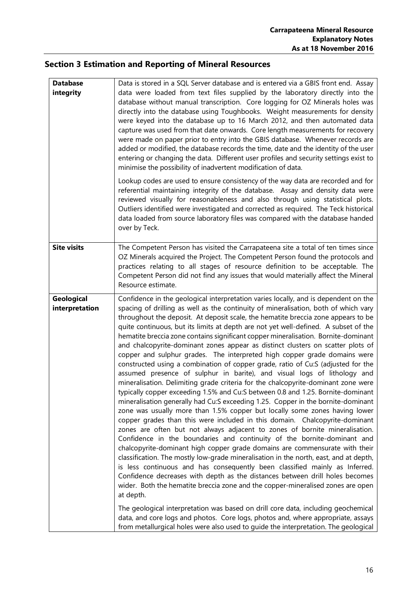# <span id="page-15-0"></span>**Section 3 Estimation and Reporting of Mineral Resources**

| <b>Database</b><br>integrity | Data is stored in a SQL Server database and is entered via a GBIS front end. Assay<br>data were loaded from text files supplied by the laboratory directly into the<br>database without manual transcription. Core logging for OZ Minerals holes was<br>directly into the database using Toughbooks. Weight measurements for density<br>were keyed into the database up to 16 March 2012, and then automated data<br>capture was used from that date onwards. Core length measurements for recovery<br>were made on paper prior to entry into the GBIS database. Whenever records are<br>added or modified, the database records the time, date and the identity of the user<br>entering or changing the data. Different user profiles and security settings exist to<br>minimise the possibility of inadvertent modification of data.<br>Lookup codes are used to ensure consistency of the way data are recorded and for<br>referential maintaining integrity of the database. Assay and density data were<br>reviewed visually for reasonableness and also through using statistical plots.<br>Outliers identified were investigated and corrected as required. The Teck historical<br>data loaded from source laboratory files was compared with the database handed<br>over by Teck.                                                                                                                                                                                                                                                                                                                                                                                                                                                                                                                                                                                                                                                                                                                                                                              |
|------------------------------|------------------------------------------------------------------------------------------------------------------------------------------------------------------------------------------------------------------------------------------------------------------------------------------------------------------------------------------------------------------------------------------------------------------------------------------------------------------------------------------------------------------------------------------------------------------------------------------------------------------------------------------------------------------------------------------------------------------------------------------------------------------------------------------------------------------------------------------------------------------------------------------------------------------------------------------------------------------------------------------------------------------------------------------------------------------------------------------------------------------------------------------------------------------------------------------------------------------------------------------------------------------------------------------------------------------------------------------------------------------------------------------------------------------------------------------------------------------------------------------------------------------------------------------------------------------------------------------------------------------------------------------------------------------------------------------------------------------------------------------------------------------------------------------------------------------------------------------------------------------------------------------------------------------------------------------------------------------------------------------------------------------------------------------------------------------------|
| <b>Site visits</b>           | The Competent Person has visited the Carrapateena site a total of ten times since<br>OZ Minerals acquired the Project. The Competent Person found the protocols and<br>practices relating to all stages of resource definition to be acceptable. The<br>Competent Person did not find any issues that would materially affect the Mineral<br>Resource estimate.                                                                                                                                                                                                                                                                                                                                                                                                                                                                                                                                                                                                                                                                                                                                                                                                                                                                                                                                                                                                                                                                                                                                                                                                                                                                                                                                                                                                                                                                                                                                                                                                                                                                                                        |
| Geological<br>interpretation | Confidence in the geological interpretation varies locally, and is dependent on the<br>spacing of drilling as well as the continuity of mineralisation, both of which vary<br>throughout the deposit. At deposit scale, the hematite breccia zone appears to be<br>quite continuous, but its limits at depth are not yet well-defined. A subset of the<br>hematite breccia zone contains significant copper mineralisation. Bornite-dominant<br>and chalcopyrite-dominant zones appear as distinct clusters on scatter plots of<br>copper and sulphur grades. The interpreted high copper grade domains were<br>constructed using a combination of copper grade, ratio of Cu:S (adjusted for the<br>assumed presence of sulphur in barite), and visual logs of lithology and<br>mineralisation. Delimiting grade criteria for the chalcopyrite-dominant zone were<br>typically copper exceeding 1.5% and Cu:S between 0.8 and 1.25. Bornite-dominant<br>mineralisation generally had Cu:S exceeding 1.25. Copper in the bornite-dominant<br>zone was usually more than 1.5% copper but locally some zones having lower<br>copper grades than this were included in this domain. Chalcopyrite-dominant<br>zones are often but not always adjacent to zones of bornite mineralisation.<br>Confidence in the boundaries and continuity of the bornite-dominant and<br>chalcopyrite-dominant high copper grade domains are commensurate with their<br>classification. The mostly low-grade mineralisation in the north, east, and at depth,<br>is less continuous and has consequently been classified mainly as Inferred.<br>Confidence decreases with depth as the distances between drill holes becomes<br>wider. Both the hematite breccia zone and the copper-mineralised zones are open<br>at depth.<br>The geological interpretation was based on drill core data, including geochemical<br>data, and core logs and photos. Core logs, photos and, where appropriate, assays<br>from metallurgical holes were also used to guide the interpretation. The geological |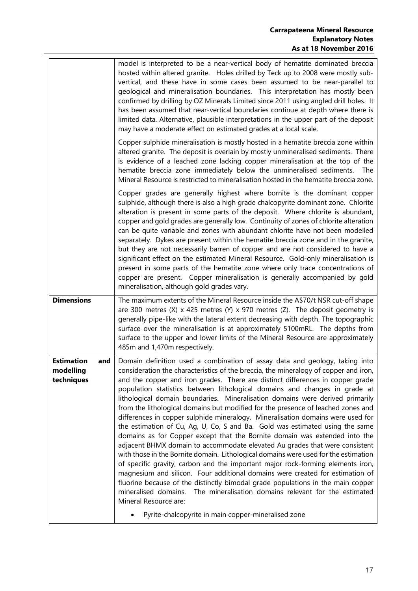| model is interpreted to be a near-vertical body of hematite dominated breccia<br>hosted within altered granite. Holes drilled by Teck up to 2008 were mostly sub-<br>vertical, and these have in some cases been assumed to be near-parallel to<br>geological and mineralisation boundaries. This interpretation has mostly been<br>confirmed by drilling by OZ Minerals Limited since 2011 using angled drill holes. It<br>has been assumed that near-vertical boundaries continue at depth where there is<br>limited data. Alternative, plausible interpretations in the upper part of the deposit<br>may have a moderate effect on estimated grades at a local scale.                                                                                                                                                                                                                             |
|------------------------------------------------------------------------------------------------------------------------------------------------------------------------------------------------------------------------------------------------------------------------------------------------------------------------------------------------------------------------------------------------------------------------------------------------------------------------------------------------------------------------------------------------------------------------------------------------------------------------------------------------------------------------------------------------------------------------------------------------------------------------------------------------------------------------------------------------------------------------------------------------------|
| Copper sulphide mineralisation is mostly hosted in a hematite breccia zone within<br>altered granite. The deposit is overlain by mostly unmineralised sediments. There<br>is evidence of a leached zone lacking copper mineralisation at the top of the<br>hematite breccia zone immediately below the unmineralised sediments. The<br>Mineral Resource is restricted to mineralisation hosted in the hematite breccia zone.                                                                                                                                                                                                                                                                                                                                                                                                                                                                         |
| Copper grades are generally highest where bornite is the dominant copper<br>sulphide, although there is also a high grade chalcopyrite dominant zone. Chlorite<br>alteration is present in some parts of the deposit. Where chlorite is abundant,<br>copper and gold grades are generally low. Continuity of zones of chlorite alteration<br>can be quite variable and zones with abundant chlorite have not been modelled<br>separately. Dykes are present within the hematite breccia zone and in the granite,<br>but they are not necessarily barren of copper and are not considered to have a<br>significant effect on the estimated Mineral Resource. Gold-only mineralisation is<br>present in some parts of the hematite zone where only trace concentrations of<br>copper are present. Copper mineralisation is generally accompanied by gold<br>mineralisation, although gold grades vary. |
| The maximum extents of the Mineral Resource inside the A\$70/t NSR cut-off shape<br>are 300 metres $(X)$ x 425 metres $(Y)$ x 970 metres $(Z)$ . The deposit geometry is<br>generally pipe-like with the lateral extent decreasing with depth. The topographic<br>surface over the mineralisation is at approximately 5100mRL. The depths from<br>surface to the upper and lower limits of the Mineral Resource are approximately<br>485m and 1,470m respectively.                                                                                                                                                                                                                                                                                                                                                                                                                                   |
| Domain definition used a combination of assay data and geology, taking into<br>consideration the characteristics of the breccia, the mineralogy of copper and iron,<br>and the copper and iron grades. There are distinct differences in copper grade<br>population statistics between lithological domains and changes in grade at<br>lithological domain boundaries. Mineralisation domains were derived primarily<br>from the lithological domains but modified for the presence of leached zones and<br>differences in copper sulphide mineralogy. Mineralisation domains were used for<br>the estimation of Cu, Ag, U, Co, S and Ba. Gold was estimated using the same                                                                                                                                                                                                                          |
|                                                                                                                                                                                                                                                                                                                                                                                                                                                                                                                                                                                                                                                                                                                                                                                                                                                                                                      |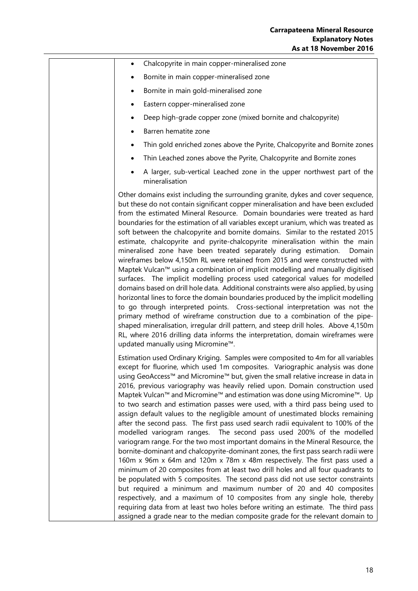| Chalcopyrite in main copper-mineralised zone<br>$\bullet$                                                                                                                                                                                                                                                                                                                                                                                                                                                                                                                                                                                                                                                                                                                                                                                                                                                                                                                                                                                                                                                                                                                                                                                                                                                                                                                                                                   |
|-----------------------------------------------------------------------------------------------------------------------------------------------------------------------------------------------------------------------------------------------------------------------------------------------------------------------------------------------------------------------------------------------------------------------------------------------------------------------------------------------------------------------------------------------------------------------------------------------------------------------------------------------------------------------------------------------------------------------------------------------------------------------------------------------------------------------------------------------------------------------------------------------------------------------------------------------------------------------------------------------------------------------------------------------------------------------------------------------------------------------------------------------------------------------------------------------------------------------------------------------------------------------------------------------------------------------------------------------------------------------------------------------------------------------------|
| Bornite in main copper-mineralised zone<br>٠                                                                                                                                                                                                                                                                                                                                                                                                                                                                                                                                                                                                                                                                                                                                                                                                                                                                                                                                                                                                                                                                                                                                                                                                                                                                                                                                                                                |
| Bornite in main gold-mineralised zone<br>٠                                                                                                                                                                                                                                                                                                                                                                                                                                                                                                                                                                                                                                                                                                                                                                                                                                                                                                                                                                                                                                                                                                                                                                                                                                                                                                                                                                                  |
| Eastern copper-mineralised zone                                                                                                                                                                                                                                                                                                                                                                                                                                                                                                                                                                                                                                                                                                                                                                                                                                                                                                                                                                                                                                                                                                                                                                                                                                                                                                                                                                                             |
| Deep high-grade copper zone (mixed bornite and chalcopyrite)                                                                                                                                                                                                                                                                                                                                                                                                                                                                                                                                                                                                                                                                                                                                                                                                                                                                                                                                                                                                                                                                                                                                                                                                                                                                                                                                                                |
| Barren hematite zone<br>$\bullet$                                                                                                                                                                                                                                                                                                                                                                                                                                                                                                                                                                                                                                                                                                                                                                                                                                                                                                                                                                                                                                                                                                                                                                                                                                                                                                                                                                                           |
| Thin gold enriched zones above the Pyrite, Chalcopyrite and Bornite zones                                                                                                                                                                                                                                                                                                                                                                                                                                                                                                                                                                                                                                                                                                                                                                                                                                                                                                                                                                                                                                                                                                                                                                                                                                                                                                                                                   |
| Thin Leached zones above the Pyrite, Chalcopyrite and Bornite zones                                                                                                                                                                                                                                                                                                                                                                                                                                                                                                                                                                                                                                                                                                                                                                                                                                                                                                                                                                                                                                                                                                                                                                                                                                                                                                                                                         |
| A larger, sub-vertical Leached zone in the upper northwest part of the<br>mineralisation                                                                                                                                                                                                                                                                                                                                                                                                                                                                                                                                                                                                                                                                                                                                                                                                                                                                                                                                                                                                                                                                                                                                                                                                                                                                                                                                    |
| Other domains exist including the surrounding granite, dykes and cover sequence,<br>but these do not contain significant copper mineralisation and have been excluded<br>from the estimated Mineral Resource. Domain boundaries were treated as hard<br>boundaries for the estimation of all variables except uranium, which was treated as<br>soft between the chalcopyrite and bornite domains. Similar to the restated 2015<br>estimate, chalcopyrite and pyrite-chalcopyrite mineralisation within the main<br>mineralised zone have been treated separately during estimation.<br>Domain<br>wireframes below 4,150m RL were retained from 2015 and were constructed with<br>Maptek Vulcan™ using a combination of implicit modelling and manually digitised<br>surfaces. The implicit modelling process used categorical values for modelled<br>domains based on drill hole data. Additional constraints were also applied, by using<br>horizontal lines to force the domain boundaries produced by the implicit modelling<br>to go through interpreted points. Cross-sectional interpretation was not the<br>primary method of wireframe construction due to a combination of the pipe-<br>shaped mineralisation, irregular drill pattern, and steep drill holes. Above 4,150m<br>RL, where 2016 drilling data informs the interpretation, domain wireframes were<br>updated manually using Micromine™.               |
| Estimation used Ordinary Kriging. Samples were composited to 4m for all variables<br>except for fluorine, which used 1m composites. Variographic analysis was done<br>using GeoAccess™ and Micromine™ but, given the small relative increase in data in<br>2016, previous variography was heavily relied upon. Domain construction used<br>Maptek Vulcan™ and Micromine™ and estimation was done using Micromine™. Up<br>to two search and estimation passes were used, with a third pass being used to<br>assign default values to the negligible amount of unestimated blocks remaining<br>after the second pass. The first pass used search radii equivalent to 100% of the<br>modelled variogram ranges. The second pass used 200% of the modelled<br>variogram range. For the two most important domains in the Mineral Resource, the<br>bornite-dominant and chalcopyrite-dominant zones, the first pass search radii were<br>160m x 96m x 64m and 120m x 78m x 48m respectively. The first pass used a<br>minimum of 20 composites from at least two drill holes and all four quadrants to<br>be populated with 5 composites. The second pass did not use sector constraints<br>but required a minimum and maximum number of 20 and 40 composites<br>respectively, and a maximum of 10 composites from any single hole, thereby<br>requiring data from at least two holes before writing an estimate. The third pass |
| assigned a grade near to the median composite grade for the relevant domain to                                                                                                                                                                                                                                                                                                                                                                                                                                                                                                                                                                                                                                                                                                                                                                                                                                                                                                                                                                                                                                                                                                                                                                                                                                                                                                                                              |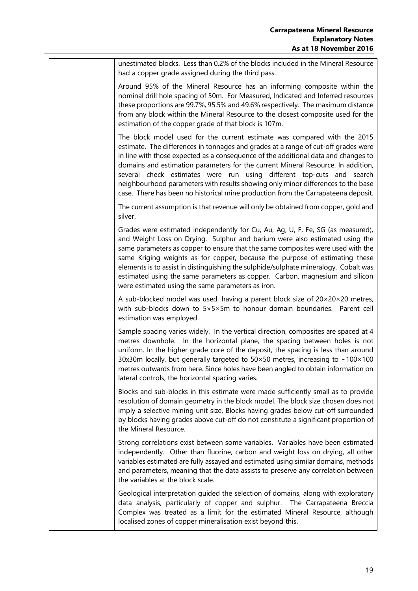unestimated blocks. Less than 0.2% of the blocks included in the Mineral Resource had a copper grade assigned during the third pass.

Around 95% of the Mineral Resource has an informing composite within the nominal drill hole spacing of 50m. For Measured, Indicated and Inferred resources these proportions are 99.7%, 95.5% and 49.6% respectively. The maximum distance from any block within the Mineral Resource to the closest composite used for the estimation of the copper grade of that block is 107m.

The block model used for the current estimate was compared with the 2015 estimate. The differences in tonnages and grades at a range of cut-off grades were in line with those expected as a consequence of the additional data and changes to domains and estimation parameters for the current Mineral Resource. In addition, several check estimates were run using different top-cuts and search neighbourhood parameters with results showing only minor differences to the base case. There has been no historical mine production from the Carrapateena deposit.

The current assumption is that revenue will only be obtained from copper, gold and silver.

Grades were estimated independently for Cu, Au, Ag, U, F, Fe, SG (as measured), and Weight Loss on Drying. Sulphur and barium were also estimated using the same parameters as copper to ensure that the same composites were used with the same Kriging weights as for copper, because the purpose of estimating these elements is to assist in distinguishing the sulphide/sulphate mineralogy. Cobalt was estimated using the same parameters as copper. Carbon, magnesium and silicon were estimated using the same parameters as iron.

A sub-blocked model was used, having a parent block size of 20×20×20 metres, with sub-blocks down to 5×5×5m to honour domain boundaries. Parent cell estimation was employed.

Sample spacing varies widely. In the vertical direction, composites are spaced at 4 metres downhole. In the horizontal plane, the spacing between holes is not uniform. In the higher grade core of the deposit, the spacing is less than around 30x30m locally, but generally targeted to  $50 \times 50$  metres, increasing to  $\sim 100 \times 100$ metres outwards from here. Since holes have been angled to obtain information on lateral controls, the horizontal spacing varies.

Blocks and sub-blocks in this estimate were made sufficiently small as to provide resolution of domain geometry in the block model. The block size chosen does not imply a selective mining unit size. Blocks having grades below cut-off surrounded by blocks having grades above cut-off do not constitute a significant proportion of the Mineral Resource.

Strong correlations exist between some variables. Variables have been estimated independently. Other than fluorine, carbon and weight loss on drying, all other variables estimated are fully assayed and estimated using similar domains, methods and parameters, meaning that the data assists to preserve any correlation between the variables at the block scale.

Geological interpretation guided the selection of domains, along with exploratory data analysis, particularly of copper and sulphur. The Carrapateena Breccia Complex was treated as a limit for the estimated Mineral Resource, although localised zones of copper mineralisation exist beyond this.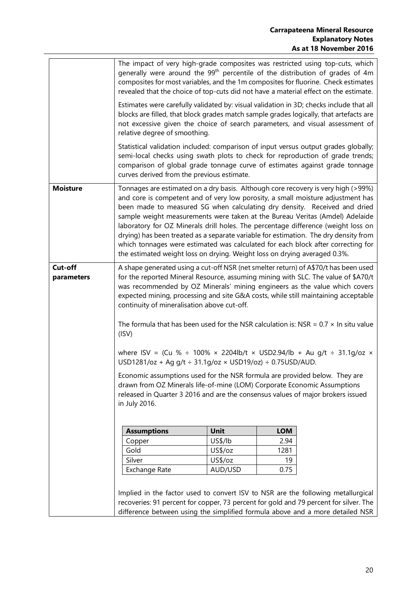|                       | The impact of very high-grade composites was restricted using top-cuts, which<br>generally were around the 99 <sup>th</sup> percentile of the distribution of grades of 4m<br>composites for most variables, and the 1m composites for fluorine. Check estimates<br>revealed that the choice of top-cuts did not have a material effect on the estimate.                                                                                                                                                                                                                                                                                                                        |         |            |  |  |  |
|-----------------------|---------------------------------------------------------------------------------------------------------------------------------------------------------------------------------------------------------------------------------------------------------------------------------------------------------------------------------------------------------------------------------------------------------------------------------------------------------------------------------------------------------------------------------------------------------------------------------------------------------------------------------------------------------------------------------|---------|------------|--|--|--|
|                       | Estimates were carefully validated by: visual validation in 3D; checks include that all<br>blocks are filled, that block grades match sample grades logically, that artefacts are<br>not excessive given the choice of search parameters, and visual assessment of<br>relative degree of smoothing.                                                                                                                                                                                                                                                                                                                                                                             |         |            |  |  |  |
|                       | Statistical validation included: comparison of input versus output grades globally;<br>semi-local checks using swath plots to check for reproduction of grade trends;<br>comparison of global grade tonnage curve of estimates against grade tonnage<br>curves derived from the previous estimate.                                                                                                                                                                                                                                                                                                                                                                              |         |            |  |  |  |
| <b>Moisture</b>       | Tonnages are estimated on a dry basis. Although core recovery is very high (>99%)<br>and core is competent and of very low porosity, a small moisture adjustment has<br>been made to measured SG when calculating dry density. Received and dried<br>sample weight measurements were taken at the Bureau Veritas (Amdel) Adelaide<br>laboratory for OZ Minerals drill holes. The percentage difference (weight loss on<br>drying) has been treated as a separate variable for estimation. The dry density from<br>which tonnages were estimated was calculated for each block after correcting for<br>the estimated weight loss on drying. Weight loss on drying averaged 0.3%. |         |            |  |  |  |
| Cut-off<br>parameters | A shape generated using a cut-off NSR (net smelter return) of A\$70/t has been used<br>for the reported Mineral Resource, assuming mining with SLC. The value of \$A70/t<br>was recommended by OZ Minerals' mining engineers as the value which covers<br>expected mining, processing and site G&A costs, while still maintaining acceptable<br>continuity of mineralisation above cut-off.<br>The formula that has been used for the NSR calculation is: NSR = $0.7 \times$ In situ value<br>(ISV)                                                                                                                                                                             |         |            |  |  |  |
|                       | where ISV = (Cu % $\div$ 100% × 2204lb/t × USD2.94/lb + Au g/t $\div$ 31.1g/oz ×<br>USD1281/oz + Ag g/t ÷ 31.1g/oz × USD19/oz) ÷ 0.75USD/AUD.                                                                                                                                                                                                                                                                                                                                                                                                                                                                                                                                   |         |            |  |  |  |
|                       | Economic assumptions used for the NSR formula are provided below. They are<br>drawn from OZ Minerals life-of-mine (LOM) Corporate Economic Assumptions<br>released in Quarter 3 2016 and are the consensus values of major brokers issued<br>in July 2016.                                                                                                                                                                                                                                                                                                                                                                                                                      |         |            |  |  |  |
|                       | <b>Assumptions</b>                                                                                                                                                                                                                                                                                                                                                                                                                                                                                                                                                                                                                                                              | Unit    | <b>LOM</b> |  |  |  |
|                       | Copper                                                                                                                                                                                                                                                                                                                                                                                                                                                                                                                                                                                                                                                                          | US\$/lb | 2.94       |  |  |  |
|                       | Gold                                                                                                                                                                                                                                                                                                                                                                                                                                                                                                                                                                                                                                                                            | US\$/oz | 1281       |  |  |  |
|                       | Silver                                                                                                                                                                                                                                                                                                                                                                                                                                                                                                                                                                                                                                                                          | US\$/oz | 19         |  |  |  |
|                       | <b>Exchange Rate</b>                                                                                                                                                                                                                                                                                                                                                                                                                                                                                                                                                                                                                                                            | AUD/USD | 0.75       |  |  |  |
|                       | Implied in the factor used to convert ISV to NSR are the following metallurgical<br>recoveries: 91 percent for copper, 73 percent for gold and 79 percent for silver. The<br>difference between using the simplified formula above and a more detailed NSR                                                                                                                                                                                                                                                                                                                                                                                                                      |         |            |  |  |  |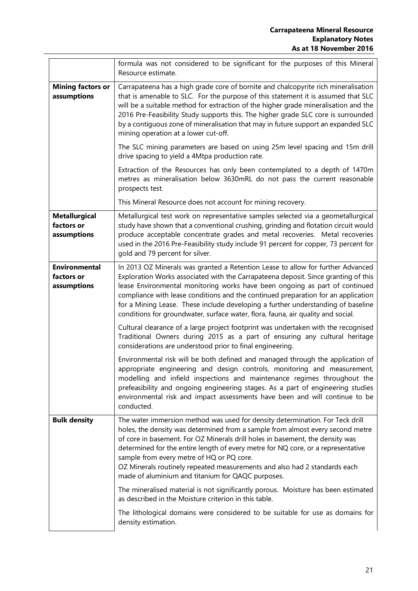|                                                   | formula was not considered to be significant for the purposes of this Mineral<br>Resource estimate.                                                                                                                                                                                                                                                                                                                                                                                                                 |
|---------------------------------------------------|---------------------------------------------------------------------------------------------------------------------------------------------------------------------------------------------------------------------------------------------------------------------------------------------------------------------------------------------------------------------------------------------------------------------------------------------------------------------------------------------------------------------|
| <b>Mining factors or</b><br>assumptions           | Carrapateena has a high grade core of bornite and chalcopyrite rich mineralisation<br>that is amenable to SLC. For the purpose of this statement it is assumed that SLC<br>will be a suitable method for extraction of the higher grade mineralisation and the<br>2016 Pre-Feasibility Study supports this. The higher grade SLC core is surrounded<br>by a contiguous zone of mineralisation that may in future support an expanded SLC<br>mining operation at a lower cut-off.                                    |
|                                                   | The SLC mining parameters are based on using 25m level spacing and 15m drill<br>drive spacing to yield a 4Mtpa production rate.                                                                                                                                                                                                                                                                                                                                                                                     |
|                                                   | Extraction of the Resources has only been contemplated to a depth of 1470m<br>metres as mineralisation below 3630mRL do not pass the current reasonable<br>prospects test.                                                                                                                                                                                                                                                                                                                                          |
|                                                   | This Mineral Resource does not account for mining recovery.                                                                                                                                                                                                                                                                                                                                                                                                                                                         |
| <b>Metallurgical</b><br>factors or<br>assumptions | Metallurgical test work on representative samples selected via a geometallurgical<br>study have shown that a conventional crushing, grinding and flotation circuit would<br>produce acceptable concentrate grades and metal recoveries. Metal recoveries<br>used in the 2016 Pre-Feasibility study include 91 percent for copper, 73 percent for<br>gold and 79 percent for silver.                                                                                                                                 |
| <b>Environmental</b><br>factors or<br>assumptions | In 2013 OZ Minerals was granted a Retention Lease to allow for further Advanced<br>Exploration Works associated with the Carrapateena deposit. Since granting of this<br>lease Environmental monitoring works have been ongoing as part of continued<br>compliance with lease conditions and the continued preparation for an application<br>for a Mining Lease. These include developing a further understanding of baseline<br>conditions for groundwater, surface water, flora, fauna, air quality and social.   |
|                                                   | Cultural clearance of a large project footprint was undertaken with the recognised<br>Traditional Owners during 2015 as a part of ensuring any cultural heritage<br>considerations are understood prior to final engineering.                                                                                                                                                                                                                                                                                       |
|                                                   | Environmental risk will be both defined and managed through the application of<br>appropriate engineering and design controls, monitoring and measurement,<br>modelling and infield inspections and maintenance regimes throughout the<br>prefeasibility and ongoing engineering stages. As a part of engineering studies<br>environmental risk and impact assessments have been and will continue to be<br>conducted.                                                                                              |
| <b>Bulk density</b>                               | The water immersion method was used for density determination. For Teck drill<br>holes, the density was determined from a sample from almost every second metre<br>of core in basement. For OZ Minerals drill holes in basement, the density was<br>determined for the entire length of every metre for NQ core, or a representative<br>sample from every metre of HQ or PQ core.<br>OZ Minerals routinely repeated measurements and also had 2 standards each<br>made of aluminium and titanium for QAQC purposes. |
|                                                   | The mineralised material is not significantly porous. Moisture has been estimated<br>as described in the Moisture criterion in this table.                                                                                                                                                                                                                                                                                                                                                                          |
|                                                   | The lithological domains were considered to be suitable for use as domains for<br>density estimation.                                                                                                                                                                                                                                                                                                                                                                                                               |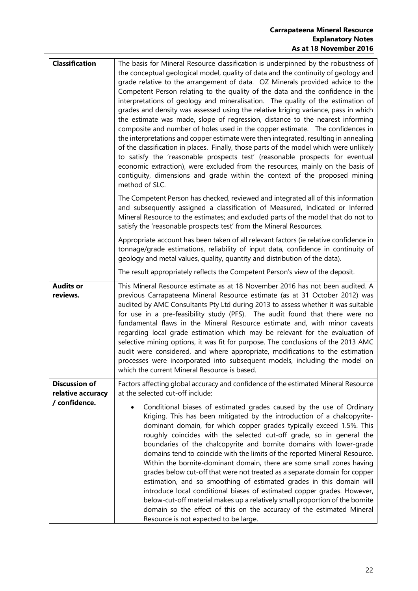### **Carrapateena Mineral Resource Explanatory Notes As at 18 November 2016**

| <b>Classification</b>              | The basis for Mineral Resource classification is underpinned by the robustness of                                                                                                                                                                                                                                                                                                                                                                                                                                                                                                                                                                                                                                                                                                                                                                                                                                                                                                                                                                     |
|------------------------------------|-------------------------------------------------------------------------------------------------------------------------------------------------------------------------------------------------------------------------------------------------------------------------------------------------------------------------------------------------------------------------------------------------------------------------------------------------------------------------------------------------------------------------------------------------------------------------------------------------------------------------------------------------------------------------------------------------------------------------------------------------------------------------------------------------------------------------------------------------------------------------------------------------------------------------------------------------------------------------------------------------------------------------------------------------------|
|                                    | the conceptual geological model, quality of data and the continuity of geology and<br>grade relative to the arrangement of data. OZ Minerals provided advice to the<br>Competent Person relating to the quality of the data and the confidence in the<br>interpretations of geology and mineralisation. The quality of the estimation of<br>grades and density was assessed using the relative kriging variance, pass in which<br>the estimate was made, slope of regression, distance to the nearest informing<br>composite and number of holes used in the copper estimate. The confidences in<br>the interpretations and copper estimate were then integrated, resulting in annealing<br>of the classification in places. Finally, those parts of the model which were unlikely<br>to satisfy the 'reasonable prospects test' (reasonable prospects for eventual<br>economic extraction), were excluded from the resources, mainly on the basis of<br>contiguity, dimensions and grade within the context of the proposed mining<br>method of SLC. |
|                                    | The Competent Person has checked, reviewed and integrated all of this information<br>and subsequently assigned a classification of Measured, Indicated or Inferred<br>Mineral Resource to the estimates; and excluded parts of the model that do not to<br>satisfy the 'reasonable prospects test' from the Mineral Resources.                                                                                                                                                                                                                                                                                                                                                                                                                                                                                                                                                                                                                                                                                                                        |
|                                    | Appropriate account has been taken of all relevant factors (ie relative confidence in<br>tonnage/grade estimations, reliability of input data, confidence in continuity of<br>geology and metal values, quality, quantity and distribution of the data).                                                                                                                                                                                                                                                                                                                                                                                                                                                                                                                                                                                                                                                                                                                                                                                              |
|                                    | The result appropriately reflects the Competent Person's view of the deposit.                                                                                                                                                                                                                                                                                                                                                                                                                                                                                                                                                                                                                                                                                                                                                                                                                                                                                                                                                                         |
| <b>Audits or</b><br>reviews.       | This Mineral Resource estimate as at 18 November 2016 has not been audited. A<br>previous Carrapateena Mineral Resource estimate (as at 31 October 2012) was<br>audited by AMC Consultants Pty Ltd during 2013 to assess whether it was suitable<br>for use in a pre-feasibility study (PFS). The audit found that there were no<br>fundamental flaws in the Mineral Resource estimate and, with minor caveats<br>regarding local grade estimation which may be relevant for the evaluation of<br>selective mining options, it was fit for purpose. The conclusions of the 2013 AMC<br>audit were considered, and where appropriate, modifications to the estimation<br>processes were incorporated into subsequent models, including the model on<br>which the current Mineral Resource is based.                                                                                                                                                                                                                                                    |
| <b>Discussion of</b>               | Factors affecting global accuracy and confidence of the estimated Mineral Resource                                                                                                                                                                                                                                                                                                                                                                                                                                                                                                                                                                                                                                                                                                                                                                                                                                                                                                                                                                    |
| relative accuracy<br>/ confidence. | at the selected cut-off include:<br>Conditional biases of estimated grades caused by the use of Ordinary<br>Kriging. This has been mitigated by the introduction of a chalcopyrite-<br>dominant domain, for which copper grades typically exceed 1.5%. This<br>roughly coincides with the selected cut-off grade, so in general the<br>boundaries of the chalcopyrite and bornite domains with lower-grade<br>domains tend to coincide with the limits of the reported Mineral Resource.<br>Within the bornite-dominant domain, there are some small zones having<br>grades below cut-off that were not treated as a separate domain for copper<br>estimation, and so smoothing of estimated grades in this domain will<br>introduce local conditional biases of estimated copper grades. However,<br>below-cut-off material makes up a relatively small proportion of the bornite<br>domain so the effect of this on the accuracy of the estimated Mineral<br>Resource is not expected to be large.                                                  |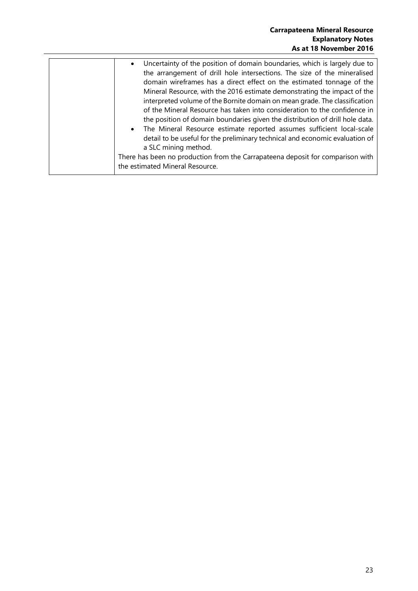<span id="page-22-0"></span>

| Uncertainty of the position of domain boundaries, which is largely due to<br>$\bullet$<br>the arrangement of drill hole intersections. The size of the mineralised<br>domain wireframes has a direct effect on the estimated tonnage of the<br>Mineral Resource, with the 2016 estimate demonstrating the impact of the<br>interpreted volume of the Bornite domain on mean grade. The classification<br>of the Mineral Resource has taken into consideration to the confidence in<br>the position of domain boundaries given the distribution of drill hole data.<br>• The Mineral Resource estimate reported assumes sufficient local-scale<br>detail to be useful for the preliminary technical and economic evaluation of |                      |
|-------------------------------------------------------------------------------------------------------------------------------------------------------------------------------------------------------------------------------------------------------------------------------------------------------------------------------------------------------------------------------------------------------------------------------------------------------------------------------------------------------------------------------------------------------------------------------------------------------------------------------------------------------------------------------------------------------------------------------|----------------------|
| There has been no production from the Carrapateena deposit for comparison with                                                                                                                                                                                                                                                                                                                                                                                                                                                                                                                                                                                                                                                | a SLC mining method. |
|                                                                                                                                                                                                                                                                                                                                                                                                                                                                                                                                                                                                                                                                                                                               |                      |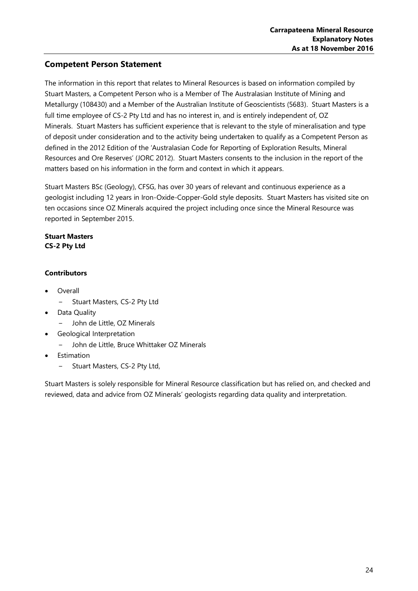## **Competent Person Statement**

The information in this report that relates to Mineral Resources is based on information compiled by Stuart Masters, a Competent Person who is a Member of The Australasian Institute of Mining and Metallurgy (108430) and a Member of the Australian Institute of Geoscientists (5683). Stuart Masters is a full time employee of CS-2 Pty Ltd and has no interest in, and is entirely independent of, OZ Minerals. Stuart Masters has sufficient experience that is relevant to the style of mineralisation and type of deposit under consideration and to the activity being undertaken to qualify as a Competent Person as defined in the 2012 Edition of the 'Australasian Code for Reporting of Exploration Results, Mineral Resources and Ore Reserves' (JORC 2012). Stuart Masters consents to the inclusion in the report of the matters based on his information in the form and context in which it appears.

Stuart Masters BSc (Geology), CFSG, has over 30 years of relevant and continuous experience as a geologist including 12 years in Iron-Oxide-Copper-Gold style deposits. Stuart Masters has visited site on ten occasions since OZ Minerals acquired the project including once since the Mineral Resource was reported in September 2015.

### **Stuart Masters CS-2 Pty Ltd**

### **Contributors**

- Overall
	- − Stuart Masters, CS-2 Pty Ltd
- Data Quality
	- − John de Little, OZ Minerals
- Geological Interpretation
	- − John de Little, Bruce Whittaker OZ Minerals
- **Estimation** 
	- − Stuart Masters, CS-2 Pty Ltd,

Stuart Masters is solely responsible for Mineral Resource classification but has relied on, and checked and reviewed, data and advice from OZ Minerals' geologists regarding data quality and interpretation.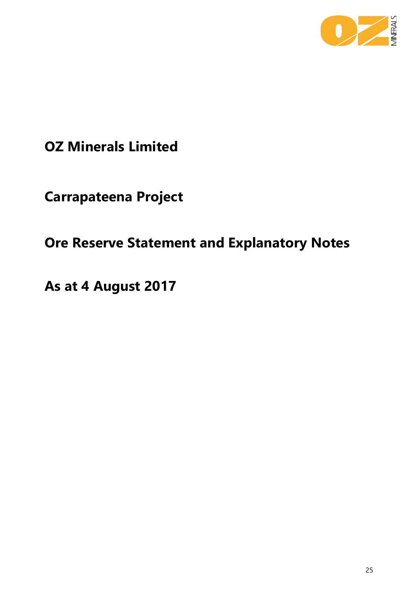

# **OZ Minerals Limited**

**Carrapateena Project**

# <span id="page-24-0"></span>**Ore Reserve Statement and Explanatory Notes**

**As at 4 August 2017**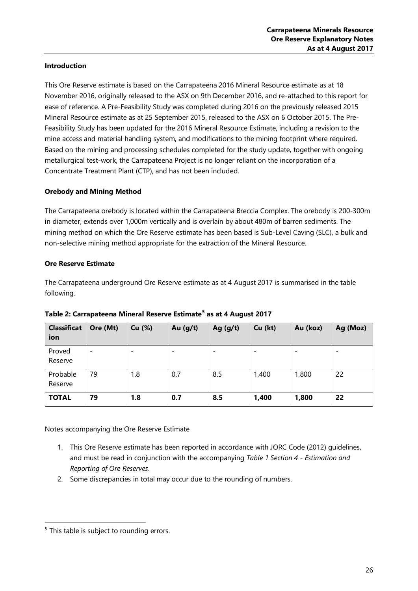### **Introduction**

This Ore Reserve estimate is based on the Carrapateena 2016 Mineral Resource estimate as at 18 November 2016, originally released to the ASX on 9th December 2016, and re-attached to this report for ease of reference. A Pre-Feasibility Study was completed during 2016 on the previously released 2015 Mineral Resource estimate as at 25 September 2015, released to the ASX on 6 October 2015. The Pre-Feasibility Study has been updated for the 2016 Mineral Resource Estimate, including a revision to the mine access and material handling system, and modifications to the mining footprint where required. Based on the mining and processing schedules completed for the study update, together with ongoing metallurgical test-work, the Carrapateena Project is no longer reliant on the incorporation of a Concentrate Treatment Plant (CTP), and has not been included.

### **Orebody and Mining Method**

The Carrapateena orebody is located within the Carrapateena Breccia Complex. The orebody is 200-300m in diameter, extends over 1,000m vertically and is overlain by about 480m of barren sediments. The mining method on which the Ore Reserve estimate has been based is Sub-Level Caving (SLC), a bulk and non-selective mining method appropriate for the extraction of the Mineral Resource.

### **Ore Reserve Estimate**

The Carrapateena underground Ore Reserve estimate as at 4 August 2017 is summarised in the table following.

| <b>Classificat</b><br>ion | Ore (Mt)                 | Cu (%) | Au $(g/t)$ | Ag $(g/t)$ | Cu (kt) | Au (koz) | Ag (Moz) |
|---------------------------|--------------------------|--------|------------|------------|---------|----------|----------|
| Proved<br>Reserve         | $\overline{\phantom{a}}$ |        |            |            |         |          |          |
| Probable<br>Reserve       | 79                       | 1.8    | 0.7        | 8.5        | 1,400   | 1,800    | 22       |
| <b>TOTAL</b>              | 79                       | 1.8    | 0.7        | 8.5        | 1,400   | 1,800    | 22       |

### **Table 2: Carrapateena Mineral Reserve Estimate[5](#page-25-0) as at 4 August 2017**

Notes accompanying the Ore Reserve Estimate

- 1. This Ore Reserve estimate has been reported in accordance with JORC Code (2012) guidelines, and must be read in conjunction with the accompanying *Table 1 Section 4 - Estimation and Reporting of Ore Reserves*.
- 2. Some discrepancies in total may occur due to the rounding of numbers.

<span id="page-25-0"></span><sup>&</sup>lt;sup>5</sup> This table is subject to rounding errors.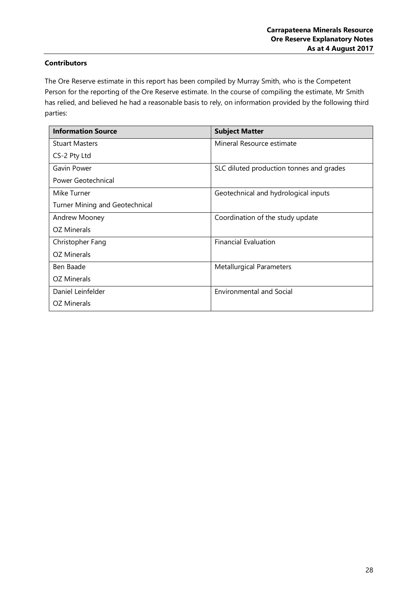### **Contributors**

The Ore Reserve estimate in this report has been compiled by Murray Smith, who is the Competent Person for the reporting of the Ore Reserve estimate. In the course of compiling the estimate, Mr Smith has relied, and believed he had a reasonable basis to rely, on information provided by the following third parties:

| <b>Information Source</b>      | <b>Subject Matter</b>                    |
|--------------------------------|------------------------------------------|
| <b>Stuart Masters</b>          | Mineral Resource estimate                |
| CS-2 Pty Ltd                   |                                          |
| Gavin Power                    | SLC diluted production tonnes and grades |
| Power Geotechnical             |                                          |
| Mike Turner                    | Geotechnical and hydrological inputs     |
| Turner Mining and Geotechnical |                                          |
| Andrew Mooney                  | Coordination of the study update         |
| OZ Minerals                    |                                          |
| Christopher Fang               | <b>Financial Evaluation</b>              |
| OZ Minerals                    |                                          |
| Ben Baade                      | <b>Metallurgical Parameters</b>          |
| OZ Minerals                    |                                          |
| Daniel Leinfelder              | <b>Environmental and Social</b>          |
| OZ Minerals                    |                                          |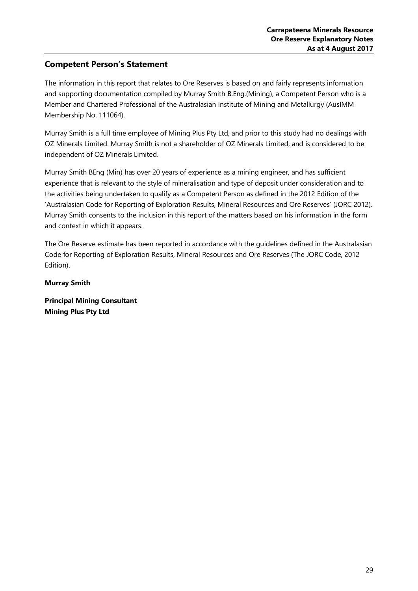## <span id="page-28-0"></span>**Competent Person's Statement**

The information in this report that relates to Ore Reserves is based on and fairly represents information and supporting documentation compiled by Murray Smith B.Eng.(Mining), a Competent Person who is a Member and Chartered Professional of the Australasian Institute of Mining and Metallurgy (AusIMM Membership No. 111064).

Murray Smith is a full time employee of Mining Plus Pty Ltd, and prior to this study had no dealings with OZ Minerals Limited. Murray Smith is not a shareholder of OZ Minerals Limited, and is considered to be independent of OZ Minerals Limited.

Murray Smith BEng (Min) has over 20 years of experience as a mining engineer, and has sufficient experience that is relevant to the style of mineralisation and type of deposit under consideration and to the activities being undertaken to qualify as a Competent Person as defined in the 2012 Edition of the 'Australasian Code for Reporting of Exploration Results, Mineral Resources and Ore Reserves' (JORC 2012). Murray Smith consents to the inclusion in this report of the matters based on his information in the form and context in which it appears.

The Ore Reserve estimate has been reported in accordance with the guidelines defined in the Australasian Code for Reporting of Exploration Results, Mineral Resources and Ore Reserves (The JORC Code, 2012 Edition).

**Murray Smith**

**Principal Mining Consultant Mining Plus Pty Ltd**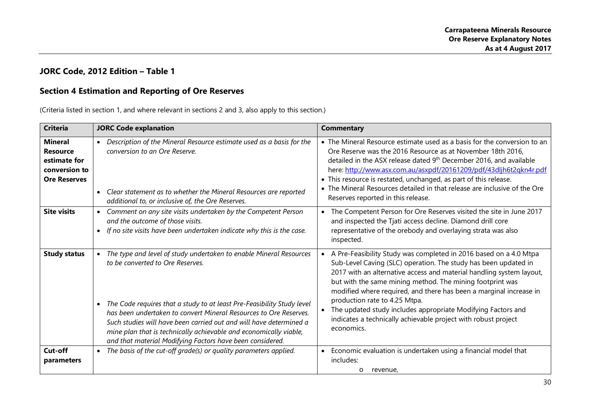## **JORC Code, 2012 Edition – Table 1**

### **Section 4 Estimation and Reporting of Ore Reserves**

(Criteria listed in section 1, and where relevant in sections 2 and 3, also apply to this section.)

<span id="page-29-1"></span><span id="page-29-0"></span>

| <b>Criteria</b>                                                                           | <b>JORC Code explanation</b>                                                                                                                                                                                                                                                                                                                                                                                                                                    | <b>Commentary</b>                                                                                                                                                                                                                                                                                                                                                                                                                                                                                                                |
|-------------------------------------------------------------------------------------------|-----------------------------------------------------------------------------------------------------------------------------------------------------------------------------------------------------------------------------------------------------------------------------------------------------------------------------------------------------------------------------------------------------------------------------------------------------------------|----------------------------------------------------------------------------------------------------------------------------------------------------------------------------------------------------------------------------------------------------------------------------------------------------------------------------------------------------------------------------------------------------------------------------------------------------------------------------------------------------------------------------------|
| <b>Mineral</b><br><b>Resource</b><br>estimate for<br>conversion to<br><b>Ore Reserves</b> | • Description of the Mineral Resource estimate used as a basis for the<br>conversion to an Ore Reserve.<br>• Clear statement as to whether the Mineral Resources are reported<br>additional to, or inclusive of, the Ore Reserves.                                                                                                                                                                                                                              | • The Mineral Resource estimate used as a basis for the conversion to an<br>Ore Reserve was the 2016 Resource as at November 18th 2016,<br>detailed in the ASX release dated 9 <sup>th</sup> December 2016, and available<br>here: http://www.asx.com.au/asxpdf/20161209/pdf/43dljh6t2qkn4r.pdf<br>• This resource is restated, unchanged, as part of this release.<br>• The Mineral Resources detailed in that release are inclusive of the Ore<br>Reserves reported in this release.                                           |
| <b>Site visits</b>                                                                        | Comment on any site visits undertaken by the Competent Person<br>$\bullet$<br>and the outcome of those visits.<br>If no site visits have been undertaken indicate why this is the case.                                                                                                                                                                                                                                                                         | The Competent Person for Ore Reserves visited the site in June 2017<br>$\bullet$<br>and inspected the Tjati access decline. Diamond drill core<br>representative of the orebody and overlaying strata was also<br>inspected.                                                                                                                                                                                                                                                                                                     |
| <b>Study status</b>                                                                       | The type and level of study undertaken to enable Mineral Resources<br>to be converted to Ore Reserves.<br>• The Code requires that a study to at least Pre-Feasibility Study level<br>has been undertaken to convert Mineral Resources to Ore Reserves.<br>Such studies will have been carried out and will have determined a<br>mine plan that is technically achievable and economically viable,<br>and that material Modifying Factors have been considered. | A Pre-Feasibility Study was completed in 2016 based on a 4.0 Mtpa<br>Sub-Level Caving (SLC) operation. The study has been updated in<br>2017 with an alternative access and material handling system layout,<br>but with the same mining method. The mining footprint was<br>modified where required, and there has been a marginal increase in<br>production rate to 4.25 Mtpa.<br>The updated study includes appropriate Modifying Factors and<br>indicates a technically achievable project with robust project<br>economics. |
| Cut-off<br>parameters                                                                     | • The basis of the cut-off grade(s) or quality parameters applied.                                                                                                                                                                                                                                                                                                                                                                                              | Economic evaluation is undertaken using a financial model that<br>$\bullet$<br>includes:<br>revenue,<br>O                                                                                                                                                                                                                                                                                                                                                                                                                        |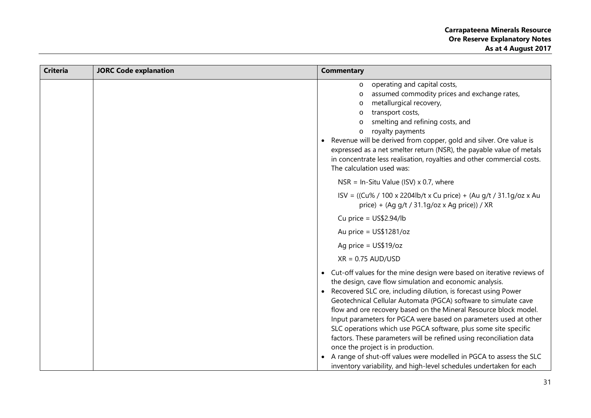| $\circ$<br>metallurgical recovery,<br>transport costs,<br>O<br>royalty payments<br>$\circ$<br>$\bullet$<br>The calculation used was:<br>NSR = In-Situ Value (ISV) $\times$ 0.7, where<br>Cu price = $US$2.94/lb$<br>Au price = $US$1281/oz$<br>Ag price = $US$19/oz$<br>$XR = 0.75$ AUD/USD<br>$\bullet$<br>$\bullet$ |                                                                                                                                                                                                                                                                                                                                                                                                                                                                                                                                                                                                                               |
|-----------------------------------------------------------------------------------------------------------------------------------------------------------------------------------------------------------------------------------------------------------------------------------------------------------------------|-------------------------------------------------------------------------------------------------------------------------------------------------------------------------------------------------------------------------------------------------------------------------------------------------------------------------------------------------------------------------------------------------------------------------------------------------------------------------------------------------------------------------------------------------------------------------------------------------------------------------------|
|                                                                                                                                                                                                                                                                                                                       | operating and capital costs,<br>assumed commodity prices and exchange rates,<br>smelting and refining costs, and<br>Revenue will be derived from copper, gold and silver. Ore value is<br>expressed as a net smelter return (NSR), the payable value of metals<br>in concentrate less realisation, royalties and other commercial costs.                                                                                                                                                                                                                                                                                      |
|                                                                                                                                                                                                                                                                                                                       |                                                                                                                                                                                                                                                                                                                                                                                                                                                                                                                                                                                                                               |
|                                                                                                                                                                                                                                                                                                                       | ISV = ((Cu% / 100 x 2204lb/t x Cu price) + (Au g/t / 31.1g/oz x Au<br>price) + (Ag g/t / 31.1g/oz x Ag price)) / XR                                                                                                                                                                                                                                                                                                                                                                                                                                                                                                           |
|                                                                                                                                                                                                                                                                                                                       |                                                                                                                                                                                                                                                                                                                                                                                                                                                                                                                                                                                                                               |
|                                                                                                                                                                                                                                                                                                                       |                                                                                                                                                                                                                                                                                                                                                                                                                                                                                                                                                                                                                               |
|                                                                                                                                                                                                                                                                                                                       |                                                                                                                                                                                                                                                                                                                                                                                                                                                                                                                                                                                                                               |
|                                                                                                                                                                                                                                                                                                                       |                                                                                                                                                                                                                                                                                                                                                                                                                                                                                                                                                                                                                               |
| once the project is in production.                                                                                                                                                                                                                                                                                    | Cut-off values for the mine design were based on iterative reviews of<br>the design, cave flow simulation and economic analysis.<br>Recovered SLC ore, including dilution, is forecast using Power<br>Geotechnical Cellular Automata (PGCA) software to simulate cave<br>flow and ore recovery based on the Mineral Resource block model.<br>Input parameters for PGCA were based on parameters used at other<br>SLC operations which use PGCA software, plus some site specific<br>factors. These parameters will be refined using reconciliation data<br>A range of shut-off values were modelled in PGCA to assess the SLC |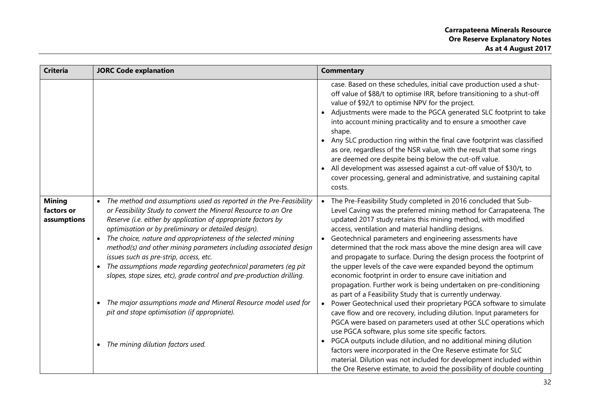| <b>Criteria</b>                            | <b>JORC Code explanation</b>                                                                                                                                                                                                                                                                                                                                                                                                                                                                                                                                                                                                                                                                                                                                | <b>Commentary</b>                                                                                                                                                                                                                                                                                                                                                                                                                                                                                                                                                                                                                                                                                                                                                                                                                                                                                                                                                                                                                                                                                                                                                                                                                                                                                     |
|--------------------------------------------|-------------------------------------------------------------------------------------------------------------------------------------------------------------------------------------------------------------------------------------------------------------------------------------------------------------------------------------------------------------------------------------------------------------------------------------------------------------------------------------------------------------------------------------------------------------------------------------------------------------------------------------------------------------------------------------------------------------------------------------------------------------|-------------------------------------------------------------------------------------------------------------------------------------------------------------------------------------------------------------------------------------------------------------------------------------------------------------------------------------------------------------------------------------------------------------------------------------------------------------------------------------------------------------------------------------------------------------------------------------------------------------------------------------------------------------------------------------------------------------------------------------------------------------------------------------------------------------------------------------------------------------------------------------------------------------------------------------------------------------------------------------------------------------------------------------------------------------------------------------------------------------------------------------------------------------------------------------------------------------------------------------------------------------------------------------------------------|
|                                            |                                                                                                                                                                                                                                                                                                                                                                                                                                                                                                                                                                                                                                                                                                                                                             | case. Based on these schedules, initial cave production used a shut-<br>off value of \$88/t to optimise IRR, before transitioning to a shut-off<br>value of \$92/t to optimise NPV for the project.<br>Adjustments were made to the PGCA generated SLC footprint to take<br>into account mining practicality and to ensure a smoother cave<br>shape.<br>Any SLC production ring within the final cave footprint was classified<br>as ore, regardless of the NSR value, with the result that some rings<br>are deemed ore despite being below the cut-off value.<br>All development was assessed against a cut-off value of \$30/t, to<br>cover processing, general and administrative, and sustaining capital<br>costs.                                                                                                                                                                                                                                                                                                                                                                                                                                                                                                                                                                               |
| <b>Mining</b><br>factors or<br>assumptions | The method and assumptions used as reported in the Pre-Feasibility<br>or Feasibility Study to convert the Mineral Resource to an Ore<br>Reserve (i.e. either by application of appropriate factors by<br>optimisation or by preliminary or detailed design).<br>The choice, nature and appropriateness of the selected mining<br>$\bullet$<br>method(s) and other mining parameters including associated design<br>issues such as pre-strip, access, etc.<br>The assumptions made regarding geotechnical parameters (eq pit<br>slopes, stope sizes, etc), grade control and pre-production drilling.<br>The major assumptions made and Mineral Resource model used for<br>pit and stope optimisation (if appropriate).<br>The mining dilution factors used. | The Pre-Feasibility Study completed in 2016 concluded that Sub-<br>Level Caving was the preferred mining method for Carrapateena. The<br>updated 2017 study retains this mining method, with modified<br>access, ventilation and material handling designs.<br>Geotechnical parameters and engineering assessments have<br>determined that the rock mass above the mine design area will cave<br>and propagate to surface. During the design process the footprint of<br>the upper levels of the cave were expanded beyond the optimum<br>economic footprint in order to ensure cave initiation and<br>propagation. Further work is being undertaken on pre-conditioning<br>as part of a Feasibility Study that is currently underway.<br>Power Geotechnical used their proprietary PGCA software to simulate<br>cave flow and ore recovery, including dilution. Input parameters for<br>PGCA were based on parameters used at other SLC operations which<br>use PGCA software, plus some site specific factors.<br>PGCA outputs include dilution, and no additional mining dilution<br>factors were incorporated in the Ore Reserve estimate for SLC<br>material. Dilution was not included for development included within<br>the Ore Reserve estimate, to avoid the possibility of double counting |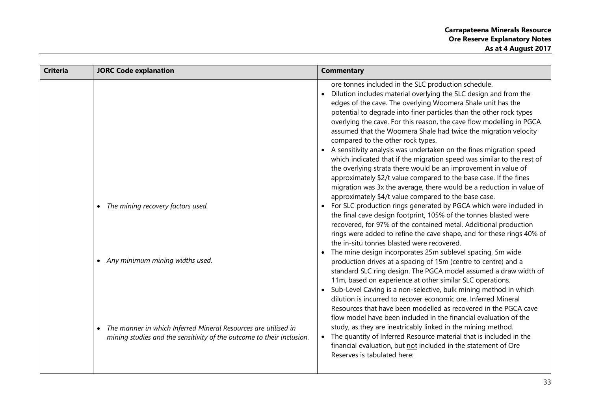| <b>Criteria</b> | <b>JORC Code explanation</b>                                                                                                                                                                                      | <b>Commentary</b>                                                                                                                                                                                                                                                                                                                                                                                                                                                                                                                                                                                                                                                                                                                                                                                                                                                                                                                                                                                                                                                                                                                                                                                                                                                                                                                                                                                                                                                                                                                                                                                                                                                                                                                                                                                                                                                                                                                                                                             |
|-----------------|-------------------------------------------------------------------------------------------------------------------------------------------------------------------------------------------------------------------|-----------------------------------------------------------------------------------------------------------------------------------------------------------------------------------------------------------------------------------------------------------------------------------------------------------------------------------------------------------------------------------------------------------------------------------------------------------------------------------------------------------------------------------------------------------------------------------------------------------------------------------------------------------------------------------------------------------------------------------------------------------------------------------------------------------------------------------------------------------------------------------------------------------------------------------------------------------------------------------------------------------------------------------------------------------------------------------------------------------------------------------------------------------------------------------------------------------------------------------------------------------------------------------------------------------------------------------------------------------------------------------------------------------------------------------------------------------------------------------------------------------------------------------------------------------------------------------------------------------------------------------------------------------------------------------------------------------------------------------------------------------------------------------------------------------------------------------------------------------------------------------------------------------------------------------------------------------------------------------------------|
|                 | The mining recovery factors used.<br>• Any minimum mining widths used.<br>The manner in which Inferred Mineral Resources are utilised in<br>mining studies and the sensitivity of the outcome to their inclusion. | ore tonnes included in the SLC production schedule.<br>Dilution includes material overlying the SLC design and from the<br>edges of the cave. The overlying Woomera Shale unit has the<br>potential to degrade into finer particles than the other rock types<br>overlying the cave. For this reason, the cave flow modelling in PGCA<br>assumed that the Woomera Shale had twice the migration velocity<br>compared to the other rock types.<br>A sensitivity analysis was undertaken on the fines migration speed<br>which indicated that if the migration speed was similar to the rest of<br>the overlying strata there would be an improvement in value of<br>approximately \$2/t value compared to the base case. If the fines<br>migration was 3x the average, there would be a reduction in value of<br>approximately \$4/t value compared to the base case.<br>For SLC production rings generated by PGCA which were included in<br>the final cave design footprint, 105% of the tonnes blasted were<br>recovered, for 97% of the contained metal. Additional production<br>rings were added to refine the cave shape, and for these rings 40% of<br>the in-situ tonnes blasted were recovered.<br>The mine design incorporates 25m sublevel spacing, 5m wide<br>production drives at a spacing of 15m (centre to centre) and a<br>standard SLC ring design. The PGCA model assumed a draw width of<br>11m, based on experience at other similar SLC operations.<br>Sub-Level Caving is a non-selective, bulk mining method in which<br>dilution is incurred to recover economic ore. Inferred Mineral<br>Resources that have been modelled as recovered in the PGCA cave<br>flow model have been included in the financial evaluation of the<br>study, as they are inextricably linked in the mining method.<br>The quantity of Inferred Resource material that is included in the<br>financial evaluation, but not included in the statement of Ore<br>Reserves is tabulated here: |
|                 |                                                                                                                                                                                                                   |                                                                                                                                                                                                                                                                                                                                                                                                                                                                                                                                                                                                                                                                                                                                                                                                                                                                                                                                                                                                                                                                                                                                                                                                                                                                                                                                                                                                                                                                                                                                                                                                                                                                                                                                                                                                                                                                                                                                                                                               |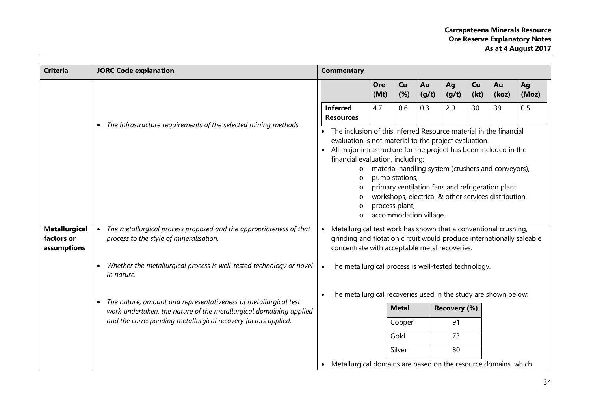| <b>Criteria</b>                                   | <b>JORC Code explanation</b>                                                                                                                       |                                                                                                                                                                                                        | <b>Commentary</b>                                                                                                                                                                                                                                                                    |             |                                  |                        |             |            |                                                                                                                                                                |             |
|---------------------------------------------------|----------------------------------------------------------------------------------------------------------------------------------------------------|--------------------------------------------------------------------------------------------------------------------------------------------------------------------------------------------------------|--------------------------------------------------------------------------------------------------------------------------------------------------------------------------------------------------------------------------------------------------------------------------------------|-------------|----------------------------------|------------------------|-------------|------------|----------------------------------------------------------------------------------------------------------------------------------------------------------------|-------------|
|                                                   |                                                                                                                                                    |                                                                                                                                                                                                        |                                                                                                                                                                                                                                                                                      | Ore<br>(Mt) | Cu<br>(%)                        | Au<br>(g/t)            | Ag<br>(g/t) | Cu<br>(kt) | Au<br>(koz)                                                                                                                                                    | Ag<br>(Moz) |
|                                                   | The infrastructure requirements of the selected mining methods.<br>$\bullet$                                                                       | <b>Inferred</b>                                                                                                                                                                                        | <b>Resources</b>                                                                                                                                                                                                                                                                     | 4.7         | 0.6                              | 0.3                    | 2.9         | 30         | 39                                                                                                                                                             | 0.5         |
|                                                   |                                                                                                                                                    | $\bullet$                                                                                                                                                                                              | The inclusion of this Inferred Resource material in the financial<br>evaluation is not material to the project evaluation.<br>All major infrastructure for the project has been included in the<br>financial evaluation, including:<br>$\circ$<br>O<br>$\circ$<br>$\circ$<br>$\circ$ |             | pump stations,<br>process plant, | accommodation village. |             |            | material handling system (crushers and conveyors),<br>primary ventilation fans and refrigeration plant<br>workshops, electrical & other services distribution, |             |
| <b>Metallurgical</b><br>factors or<br>assumptions | The metallurgical process proposed and the appropriateness of that<br>process to the style of mineralisation.                                      | Metallurgical test work has shown that a conventional crushing,<br>$\bullet$<br>grinding and flotation circuit would produce internationally saleable<br>concentrate with acceptable metal recoveries. |                                                                                                                                                                                                                                                                                      |             |                                  |                        |             |            |                                                                                                                                                                |             |
|                                                   | Whether the metallurgical process is well-tested technology or novel<br>$\bullet$<br>in nature.                                                    | The metallurgical process is well-tested technology.<br>$\bullet$                                                                                                                                      |                                                                                                                                                                                                                                                                                      |             |                                  |                        |             |            |                                                                                                                                                                |             |
|                                                   | The nature, amount and representativeness of metallurgical test<br>$\bullet$<br>work undertaken, the nature of the metallurgical domaining applied |                                                                                                                                                                                                        | The metallurgical recoveries used in the study are shown below:<br>$\bullet$<br><b>Metal</b><br>Recovery (%)                                                                                                                                                                         |             |                                  |                        |             |            |                                                                                                                                                                |             |
|                                                   | and the corresponding metallurgical recovery factors applied.                                                                                      |                                                                                                                                                                                                        |                                                                                                                                                                                                                                                                                      |             | Copper                           |                        | 91          |            |                                                                                                                                                                |             |
|                                                   |                                                                                                                                                    |                                                                                                                                                                                                        |                                                                                                                                                                                                                                                                                      |             | Gold<br>Silver                   |                        | 73<br>80    |            |                                                                                                                                                                |             |
|                                                   | Metallurgical domains are based on the resource domains, which<br>$\bullet$                                                                        |                                                                                                                                                                                                        |                                                                                                                                                                                                                                                                                      |             |                                  |                        |             |            |                                                                                                                                                                |             |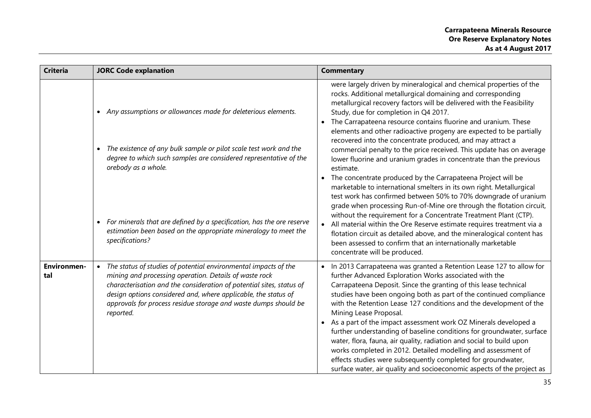| <b>Criteria</b>           | <b>JORC Code explanation</b>                                                                                                                                                                                                                                                                                                                                                                                | <b>Commentary</b>                                                                                                                                                                                                                                                                                                                                                                                                                                                                                                                                                                                                                                                                                                                                                                                                                                                                                                                                                                                                                                                                                                                                                                                                                |
|---------------------------|-------------------------------------------------------------------------------------------------------------------------------------------------------------------------------------------------------------------------------------------------------------------------------------------------------------------------------------------------------------------------------------------------------------|----------------------------------------------------------------------------------------------------------------------------------------------------------------------------------------------------------------------------------------------------------------------------------------------------------------------------------------------------------------------------------------------------------------------------------------------------------------------------------------------------------------------------------------------------------------------------------------------------------------------------------------------------------------------------------------------------------------------------------------------------------------------------------------------------------------------------------------------------------------------------------------------------------------------------------------------------------------------------------------------------------------------------------------------------------------------------------------------------------------------------------------------------------------------------------------------------------------------------------|
|                           | Any assumptions or allowances made for deleterious elements.<br>$\bullet$<br>The existence of any bulk sample or pilot scale test work and the<br>degree to which such samples are considered representative of the<br>orebody as a whole.<br>• For minerals that are defined by a specification, has the ore reserve<br>estimation been based on the appropriate mineralogy to meet the<br>specifications? | were largely driven by mineralogical and chemical properties of the<br>rocks. Additional metallurgical domaining and corresponding<br>metallurgical recovery factors will be delivered with the Feasibility<br>Study, due for completion in Q4 2017.<br>The Carrapateena resource contains fluorine and uranium. These<br>elements and other radioactive progeny are expected to be partially<br>recovered into the concentrate produced, and may attract a<br>commercial penalty to the price received. This update has on average<br>lower fluorine and uranium grades in concentrate than the previous<br>estimate.<br>The concentrate produced by the Carrapateena Project will be<br>marketable to international smelters in its own right. Metallurgical<br>test work has confirmed between 50% to 70% downgrade of uranium<br>grade when processing Run-of-Mine ore through the flotation circuit,<br>without the requirement for a Concentrate Treatment Plant (CTP).<br>All material within the Ore Reserve estimate requires treatment via a<br>flotation circuit as detailed above, and the mineralogical content has<br>been assessed to confirm that an internationally marketable<br>concentrate will be produced. |
| <b>Environmen-</b><br>tal | The status of studies of potential environmental impacts of the<br>$\bullet$<br>mining and processing operation. Details of waste rock<br>characterisation and the consideration of potential sites, status of<br>design options considered and, where applicable, the status of<br>approvals for process residue storage and waste dumps should be<br>reported.                                            | In 2013 Carrapateena was granted a Retention Lease 127 to allow for<br>further Advanced Exploration Works associated with the<br>Carrapateena Deposit. Since the granting of this lease technical<br>studies have been ongoing both as part of the continued compliance<br>with the Retention Lease 127 conditions and the development of the<br>Mining Lease Proposal.<br>As a part of the impact assessment work OZ Minerals developed a<br>further understanding of baseline conditions for groundwater, surface<br>water, flora, fauna, air quality, radiation and social to build upon<br>works completed in 2012. Detailed modelling and assessment of<br>effects studies were subsequently completed for groundwater,<br>surface water, air quality and socioeconomic aspects of the project as                                                                                                                                                                                                                                                                                                                                                                                                                           |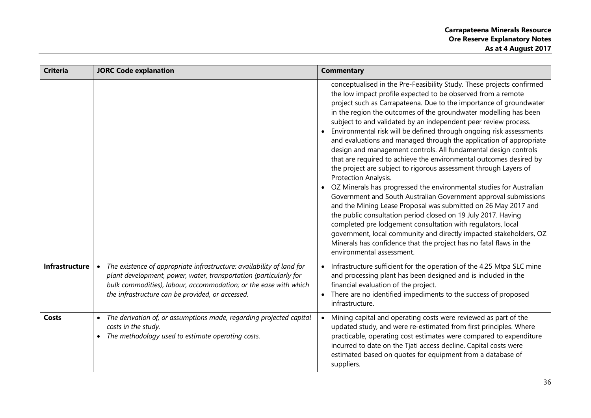| <b>Criteria</b>       | <b>JORC Code explanation</b>                                                                                                                                                                                                                                                    | <b>Commentary</b>                                                                                                                                                                                                                                                                                                                                                                                                                                                                                                                                                                                                                                                                                                                                                                                                                                                                                                                                                                                                                                                                                                                                                                                                                                           |
|-----------------------|---------------------------------------------------------------------------------------------------------------------------------------------------------------------------------------------------------------------------------------------------------------------------------|-------------------------------------------------------------------------------------------------------------------------------------------------------------------------------------------------------------------------------------------------------------------------------------------------------------------------------------------------------------------------------------------------------------------------------------------------------------------------------------------------------------------------------------------------------------------------------------------------------------------------------------------------------------------------------------------------------------------------------------------------------------------------------------------------------------------------------------------------------------------------------------------------------------------------------------------------------------------------------------------------------------------------------------------------------------------------------------------------------------------------------------------------------------------------------------------------------------------------------------------------------------|
|                       |                                                                                                                                                                                                                                                                                 | conceptualised in the Pre-Feasibility Study. These projects confirmed<br>the low impact profile expected to be observed from a remote<br>project such as Carrapateena. Due to the importance of groundwater<br>in the region the outcomes of the groundwater modelling has been<br>subject to and validated by an independent peer review process.<br>Environmental risk will be defined through ongoing risk assessments<br>and evaluations and managed through the application of appropriate<br>design and management controls. All fundamental design controls<br>that are required to achieve the environmental outcomes desired by<br>the project are subject to rigorous assessment through Layers of<br>Protection Analysis.<br>• OZ Minerals has progressed the environmental studies for Australian<br>Government and South Australian Government approval submissions<br>and the Mining Lease Proposal was submitted on 26 May 2017 and<br>the public consultation period closed on 19 July 2017. Having<br>completed pre lodgement consultation with regulators, local<br>government, local community and directly impacted stakeholders, OZ<br>Minerals has confidence that the project has no fatal flaws in the<br>environmental assessment. |
| <b>Infrastructure</b> | The existence of appropriate infrastructure: availability of land for<br>$\bullet$<br>plant development, power, water, transportation (particularly for<br>bulk commodities), labour, accommodation; or the ease with which<br>the infrastructure can be provided, or accessed. | Infrastructure sufficient for the operation of the 4.25 Mtpa SLC mine<br>and processing plant has been designed and is included in the<br>financial evaluation of the project.<br>There are no identified impediments to the success of proposed<br>infrastructure.                                                                                                                                                                                                                                                                                                                                                                                                                                                                                                                                                                                                                                                                                                                                                                                                                                                                                                                                                                                         |
| <b>Costs</b>          | The derivation of, or assumptions made, regarding projected capital<br>costs in the study.<br>The methodology used to estimate operating costs.<br>$\bullet$                                                                                                                    | Mining capital and operating costs were reviewed as part of the<br>updated study, and were re-estimated from first principles. Where<br>practicable, operating cost estimates were compared to expenditure<br>incurred to date on the Tjati access decline. Capital costs were<br>estimated based on quotes for equipment from a database of<br>suppliers.                                                                                                                                                                                                                                                                                                                                                                                                                                                                                                                                                                                                                                                                                                                                                                                                                                                                                                  |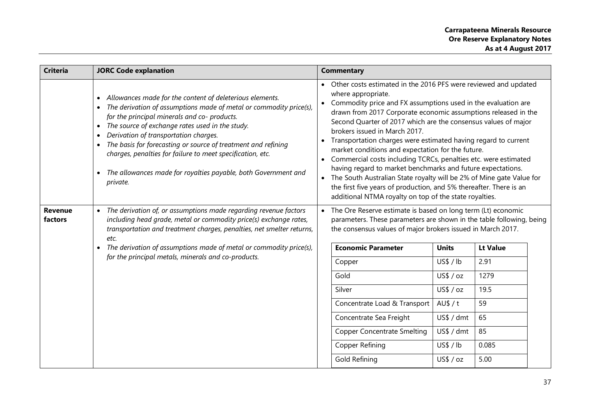| <b>Criteria</b>                                     | <b>JORC Code explanation</b>                                                                                                                                                                                                                                                                                                                                                                                                                                                                                      | <b>Commentary</b>                                                                                                                                                                                                                                                                                                                                                                                                                                                                                                                                                                                                                                                                                                                                                                                                      |  |  |  |  |
|-----------------------------------------------------|-------------------------------------------------------------------------------------------------------------------------------------------------------------------------------------------------------------------------------------------------------------------------------------------------------------------------------------------------------------------------------------------------------------------------------------------------------------------------------------------------------------------|------------------------------------------------------------------------------------------------------------------------------------------------------------------------------------------------------------------------------------------------------------------------------------------------------------------------------------------------------------------------------------------------------------------------------------------------------------------------------------------------------------------------------------------------------------------------------------------------------------------------------------------------------------------------------------------------------------------------------------------------------------------------------------------------------------------------|--|--|--|--|
|                                                     | Allowances made for the content of deleterious elements.<br>The derivation of assumptions made of metal or commodity price(s),<br>for the principal minerals and co- products.<br>The source of exchange rates used in the study.<br>$\bullet$<br>Derivation of transportation charges.<br>$\bullet$<br>The basis for forecasting or source of treatment and refining<br>charges, penalties for failure to meet specification, etc.<br>The allowances made for royalties payable, both Government and<br>private. | Other costs estimated in the 2016 PFS were reviewed and updated<br>$\bullet$<br>where appropriate.<br>Commodity price and FX assumptions used in the evaluation are<br>drawn from 2017 Corporate economic assumptions released in the<br>Second Quarter of 2017 which are the consensus values of major<br>brokers issued in March 2017.<br>Transportation charges were estimated having regard to current<br>market conditions and expectation for the future.<br>Commercial costs including TCRCs, penalties etc. were estimated<br>having regard to market benchmarks and future expectations.<br>The South Australian State royalty will be 2% of Mine gate Value for<br>$\bullet$<br>the first five years of production, and 5% thereafter. There is an<br>additional NTMA royalty on top of the state royalties. |  |  |  |  |
| <b>Revenue</b><br>factors                           | The derivation of, or assumptions made regarding revenue factors<br>$\bullet$<br>including head grade, metal or commodity price(s) exchange rates,<br>transportation and treatment charges, penalties, net smelter returns,<br>etc.                                                                                                                                                                                                                                                                               | The Ore Reserve estimate is based on long term (Lt) economic<br>parameters. These parameters are shown in the table following, being<br>the consensus values of major brokers issued in March 2017.                                                                                                                                                                                                                                                                                                                                                                                                                                                                                                                                                                                                                    |  |  |  |  |
|                                                     | The derivation of assumptions made of metal or commodity price(s),<br>$\bullet$                                                                                                                                                                                                                                                                                                                                                                                                                                   | <b>Economic Parameter</b><br><b>Lt Value</b><br><b>Units</b>                                                                                                                                                                                                                                                                                                                                                                                                                                                                                                                                                                                                                                                                                                                                                           |  |  |  |  |
| for the principal metals, minerals and co-products. |                                                                                                                                                                                                                                                                                                                                                                                                                                                                                                                   | 2.91<br>US\$/lb<br>Copper                                                                                                                                                                                                                                                                                                                                                                                                                                                                                                                                                                                                                                                                                                                                                                                              |  |  |  |  |
|                                                     |                                                                                                                                                                                                                                                                                                                                                                                                                                                                                                                   | US\$ / oz<br>Gold<br>1279                                                                                                                                                                                                                                                                                                                                                                                                                                                                                                                                                                                                                                                                                                                                                                                              |  |  |  |  |
|                                                     |                                                                                                                                                                                                                                                                                                                                                                                                                                                                                                                   | US\$ / oz<br>19.5<br>Silver                                                                                                                                                                                                                                                                                                                                                                                                                                                                                                                                                                                                                                                                                                                                                                                            |  |  |  |  |
|                                                     |                                                                                                                                                                                                                                                                                                                                                                                                                                                                                                                   | $A \cup \$ / t<br>59<br>Concentrate Load & Transport                                                                                                                                                                                                                                                                                                                                                                                                                                                                                                                                                                                                                                                                                                                                                                   |  |  |  |  |
|                                                     |                                                                                                                                                                                                                                                                                                                                                                                                                                                                                                                   | 65<br>Concentrate Sea Freight<br>US\$ / dmt                                                                                                                                                                                                                                                                                                                                                                                                                                                                                                                                                                                                                                                                                                                                                                            |  |  |  |  |
|                                                     |                                                                                                                                                                                                                                                                                                                                                                                                                                                                                                                   | US\$ / dmt<br>85<br><b>Copper Concentrate Smelting</b>                                                                                                                                                                                                                                                                                                                                                                                                                                                                                                                                                                                                                                                                                                                                                                 |  |  |  |  |
|                                                     |                                                                                                                                                                                                                                                                                                                                                                                                                                                                                                                   | US\$/lb<br>Copper Refining<br>0.085                                                                                                                                                                                                                                                                                                                                                                                                                                                                                                                                                                                                                                                                                                                                                                                    |  |  |  |  |
|                                                     |                                                                                                                                                                                                                                                                                                                                                                                                                                                                                                                   | 5.00<br>Gold Refining<br>US\$ / oz                                                                                                                                                                                                                                                                                                                                                                                                                                                                                                                                                                                                                                                                                                                                                                                     |  |  |  |  |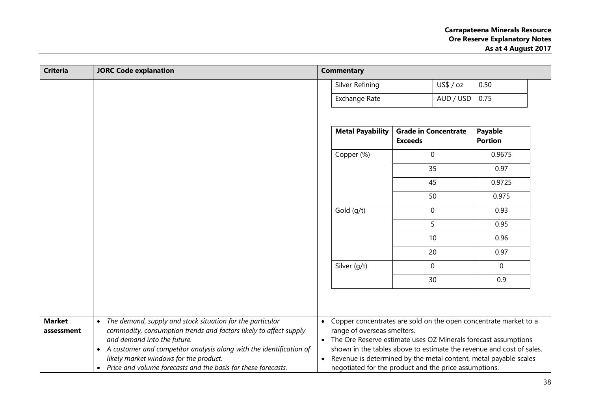| <b>Criteria</b> | <b>JORC Code explanation</b>                                                                     |                                                                                               | <b>Commentary</b>                                     |                                               |           |                                                                      |
|-----------------|--------------------------------------------------------------------------------------------------|-----------------------------------------------------------------------------------------------|-------------------------------------------------------|-----------------------------------------------|-----------|----------------------------------------------------------------------|
|                 |                                                                                                  |                                                                                               | Silver Refining                                       |                                               | US\$ / oz | 0.50                                                                 |
|                 |                                                                                                  |                                                                                               | Exchange Rate                                         |                                               | AUD / USD | 0.75                                                                 |
|                 |                                                                                                  |                                                                                               |                                                       |                                               |           |                                                                      |
|                 |                                                                                                  |                                                                                               | <b>Metal Payability</b>                               | <b>Grade in Concentrate</b><br><b>Exceeds</b> |           | Payable<br><b>Portion</b>                                            |
|                 |                                                                                                  |                                                                                               | Copper (%)                                            | 0                                             |           | 0.9675                                                               |
|                 |                                                                                                  |                                                                                               |                                                       | 35                                            |           | 0.97                                                                 |
|                 |                                                                                                  |                                                                                               |                                                       | 45                                            |           | 0.9725                                                               |
|                 |                                                                                                  |                                                                                               |                                                       | 50                                            |           | 0.975                                                                |
|                 |                                                                                                  |                                                                                               | Gold (g/t)                                            | $\mathbf 0$                                   |           | 0.93                                                                 |
|                 |                                                                                                  |                                                                                               |                                                       | 5                                             |           | 0.95                                                                 |
|                 |                                                                                                  |                                                                                               |                                                       | 10                                            |           | 0.96                                                                 |
|                 |                                                                                                  |                                                                                               |                                                       | 20                                            |           | 0.97                                                                 |
|                 |                                                                                                  |                                                                                               | Silver (g/t)                                          | 0                                             |           | $\mathbf 0$                                                          |
|                 |                                                                                                  |                                                                                               |                                                       | 30                                            |           | 0.9                                                                  |
|                 |                                                                                                  |                                                                                               |                                                       |                                               |           |                                                                      |
|                 |                                                                                                  |                                                                                               |                                                       |                                               |           |                                                                      |
| <b>Market</b>   | The demand, supply and stock situation for the particular<br>$\bullet$                           | $\bullet$                                                                                     |                                                       |                                               |           | Copper concentrates are sold on the open concentrate market to a     |
| assessment      | commodity, consumption trends and factors likely to affect supply<br>and demand into the future. | range of overseas smelters.<br>The Ore Reserve estimate uses OZ Minerals forecast assumptions |                                                       |                                               |           |                                                                      |
|                 | • A customer and competitor analysis along with the identification of                            |                                                                                               |                                                       |                                               |           | shown in the tables above to estimate the revenue and cost of sales. |
|                 | likely market windows for the product.                                                           |                                                                                               |                                                       |                                               |           | Revenue is determined by the metal content, metal payable scales     |
|                 | Price and volume forecasts and the basis for these forecasts.<br>$\bullet$                       |                                                                                               | negotiated for the product and the price assumptions. |                                               |           |                                                                      |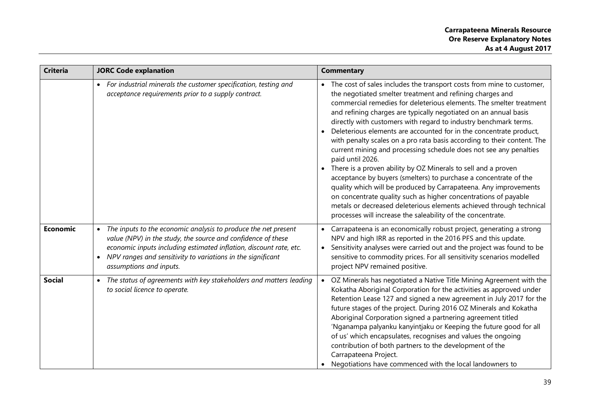| <b>Criteria</b> | <b>JORC Code explanation</b>                                                                                                                                                                                                                                                                                | <b>Commentary</b>                                                                                                                                                                                                                                                                                                                                                                                                                                                                                                                                                                                                                                                                                                                                                                                                                                                                                                                                                                                             |
|-----------------|-------------------------------------------------------------------------------------------------------------------------------------------------------------------------------------------------------------------------------------------------------------------------------------------------------------|---------------------------------------------------------------------------------------------------------------------------------------------------------------------------------------------------------------------------------------------------------------------------------------------------------------------------------------------------------------------------------------------------------------------------------------------------------------------------------------------------------------------------------------------------------------------------------------------------------------------------------------------------------------------------------------------------------------------------------------------------------------------------------------------------------------------------------------------------------------------------------------------------------------------------------------------------------------------------------------------------------------|
|                 | • For industrial minerals the customer specification, testing and<br>acceptance requirements prior to a supply contract.                                                                                                                                                                                    | The cost of sales includes the transport costs from mine to customer,<br>the negotiated smelter treatment and refining charges and<br>commercial remedies for deleterious elements. The smelter treatment<br>and refining charges are typically negotiated on an annual basis<br>directly with customers with regard to industry benchmark terms.<br>Deleterious elements are accounted for in the concentrate product,<br>with penalty scales on a pro rata basis according to their content. The<br>current mining and processing schedule does not see any penalties<br>paid until 2026.<br>There is a proven ability by OZ Minerals to sell and a proven<br>acceptance by buyers (smelters) to purchase a concentrate of the<br>quality which will be produced by Carrapateena. Any improvements<br>on concentrate quality such as higher concentrations of payable<br>metals or decreased deleterious elements achieved through technical<br>processes will increase the saleability of the concentrate. |
| <b>Economic</b> | The inputs to the economic analysis to produce the net present<br>value (NPV) in the study, the source and confidence of these<br>economic inputs including estimated inflation, discount rate, etc.<br>NPV ranges and sensitivity to variations in the significant<br>$\bullet$<br>assumptions and inputs. | Carrapateena is an economically robust project, generating a strong<br>NPV and high IRR as reported in the 2016 PFS and this update.<br>Sensitivity analyses were carried out and the project was found to be<br>sensitive to commodity prices. For all sensitivity scenarios modelled<br>project NPV remained positive.                                                                                                                                                                                                                                                                                                                                                                                                                                                                                                                                                                                                                                                                                      |
| <b>Social</b>   | The status of agreements with key stakeholders and matters leading<br>to social licence to operate.                                                                                                                                                                                                         | OZ Minerals has negotiated a Native Title Mining Agreement with the<br>Kokatha Aboriginal Corporation for the activities as approved under<br>Retention Lease 127 and signed a new agreement in July 2017 for the<br>future stages of the project. During 2016 OZ Minerals and Kokatha<br>Aboriginal Corporation signed a partnering agreement titled<br>'Nganampa palyanku kanyintjaku or Keeping the future good for all<br>of us' which encapsulates, recognises and values the ongoing<br>contribution of both partners to the development of the<br>Carrapateena Project.<br>Negotiations have commenced with the local landowners to                                                                                                                                                                                                                                                                                                                                                                    |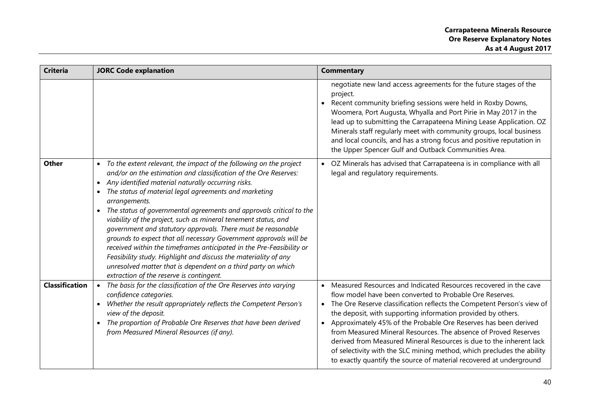| <b>Criteria</b>       | <b>JORC Code explanation</b>                                                                                                                                                                                                                                                                                                                                                                                                                                                                                                                                                                                                                                                                                                                                                                                                           | <b>Commentary</b>                                                                                                                                                                                                                                                                                                                                                                                                                                                                                                                                                                                                                                              |
|-----------------------|----------------------------------------------------------------------------------------------------------------------------------------------------------------------------------------------------------------------------------------------------------------------------------------------------------------------------------------------------------------------------------------------------------------------------------------------------------------------------------------------------------------------------------------------------------------------------------------------------------------------------------------------------------------------------------------------------------------------------------------------------------------------------------------------------------------------------------------|----------------------------------------------------------------------------------------------------------------------------------------------------------------------------------------------------------------------------------------------------------------------------------------------------------------------------------------------------------------------------------------------------------------------------------------------------------------------------------------------------------------------------------------------------------------------------------------------------------------------------------------------------------------|
|                       |                                                                                                                                                                                                                                                                                                                                                                                                                                                                                                                                                                                                                                                                                                                                                                                                                                        | negotiate new land access agreements for the future stages of the<br>project.<br>Recent community briefing sessions were held in Roxby Downs,<br>$\bullet$<br>Woomera, Port Augusta, Whyalla and Port Pirie in May 2017 in the<br>lead up to submitting the Carrapateena Mining Lease Application. OZ<br>Minerals staff regularly meet with community groups, local business<br>and local councils, and has a strong focus and positive reputation in<br>the Upper Spencer Gulf and Outback Communities Area.                                                                                                                                                  |
| <b>Other</b>          | To the extent relevant, the impact of the following on the project<br>$\bullet$<br>and/or on the estimation and classification of the Ore Reserves:<br>Any identified material naturally occurring risks.<br>$\bullet$<br>The status of material legal agreements and marketing<br>arrangements.<br>The status of governmental agreements and approvals critical to the<br>viability of the project, such as mineral tenement status, and<br>government and statutory approvals. There must be reasonable<br>grounds to expect that all necessary Government approvals will be<br>received within the timeframes anticipated in the Pre-Feasibility or<br>Feasibility study. Highlight and discuss the materiality of any<br>unresolved matter that is dependent on a third party on which<br>extraction of the reserve is contingent. | OZ Minerals has advised that Carrapateena is in compliance with all<br>legal and regulatory requirements.                                                                                                                                                                                                                                                                                                                                                                                                                                                                                                                                                      |
| <b>Classification</b> | The basis for the classification of the Ore Reserves into varying<br>confidence categories.<br>Whether the result appropriately reflects the Competent Person's<br>$\bullet$<br>view of the deposit.<br>The proportion of Probable Ore Reserves that have been derived<br>from Measured Mineral Resources (if any).                                                                                                                                                                                                                                                                                                                                                                                                                                                                                                                    | Measured Resources and Indicated Resources recovered in the cave<br>$\bullet$<br>flow model have been converted to Probable Ore Reserves.<br>The Ore Reserve classification reflects the Competent Person's view of<br>$\bullet$<br>the deposit, with supporting information provided by others.<br>Approximately 45% of the Probable Ore Reserves has been derived<br>from Measured Mineral Resources. The absence of Proved Reserves<br>derived from Measured Mineral Resources is due to the inherent lack<br>of selectivity with the SLC mining method, which precludes the ability<br>to exactly quantify the source of material recovered at underground |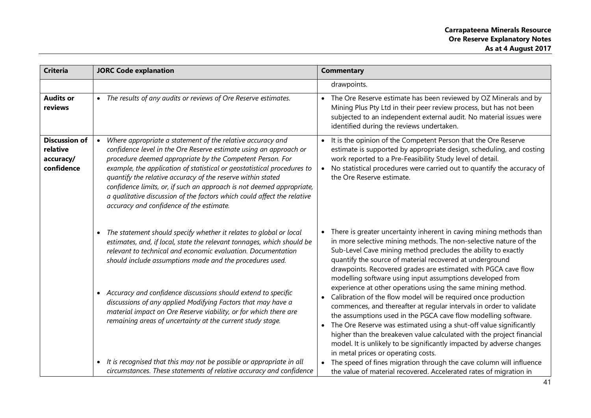| <b>Criteria</b>                                             | <b>JORC Code explanation</b>                                                                                                                                                                                                                                                                                                                                                                                                                                                                                                           | <b>Commentary</b>                                                                                                                                                                                                                                                                                                                                                                                                                                                                                                                      |
|-------------------------------------------------------------|----------------------------------------------------------------------------------------------------------------------------------------------------------------------------------------------------------------------------------------------------------------------------------------------------------------------------------------------------------------------------------------------------------------------------------------------------------------------------------------------------------------------------------------|----------------------------------------------------------------------------------------------------------------------------------------------------------------------------------------------------------------------------------------------------------------------------------------------------------------------------------------------------------------------------------------------------------------------------------------------------------------------------------------------------------------------------------------|
|                                                             |                                                                                                                                                                                                                                                                                                                                                                                                                                                                                                                                        | drawpoints.                                                                                                                                                                                                                                                                                                                                                                                                                                                                                                                            |
| <b>Audits or</b><br>reviews                                 | • The results of any audits or reviews of Ore Reserve estimates.                                                                                                                                                                                                                                                                                                                                                                                                                                                                       | The Ore Reserve estimate has been reviewed by OZ Minerals and by<br>Mining Plus Pty Ltd in their peer review process, but has not been<br>subjected to an independent external audit. No material issues were<br>identified during the reviews undertaken.                                                                                                                                                                                                                                                                             |
| <b>Discussion of</b><br>relative<br>accuracy/<br>confidence | Where appropriate a statement of the relative accuracy and<br>confidence level in the Ore Reserve estimate using an approach or<br>procedure deemed appropriate by the Competent Person. For<br>example, the application of statistical or geostatistical procedures to<br>quantify the relative accuracy of the reserve within stated<br>confidence limits, or, if such an approach is not deemed appropriate,<br>a qualitative discussion of the factors which could affect the relative<br>accuracy and confidence of the estimate. | It is the opinion of the Competent Person that the Ore Reserve<br>estimate is supported by appropriate design, scheduling, and costing<br>work reported to a Pre-Feasibility Study level of detail.<br>No statistical procedures were carried out to quantify the accuracy of<br>the Ore Reserve estimate.                                                                                                                                                                                                                             |
|                                                             | The statement should specify whether it relates to global or local<br>estimates, and, if local, state the relevant tonnages, which should be<br>relevant to technical and economic evaluation. Documentation<br>should include assumptions made and the procedures used.<br>• Accuracy and confidence discussions should extend to specific                                                                                                                                                                                            | There is greater uncertainty inherent in caving mining methods than<br>in more selective mining methods. The non-selective nature of the<br>Sub-Level Cave mining method precludes the ability to exactly<br>quantify the source of material recovered at underground<br>drawpoints. Recovered grades are estimated with PGCA cave flow<br>modelling software using input assumptions developed from<br>experience at other operations using the same mining method.<br>Calibration of the flow model will be required once production |
|                                                             | discussions of any applied Modifying Factors that may have a<br>material impact on Ore Reserve viability, or for which there are<br>remaining areas of uncertainty at the current study stage.<br>• It is recognised that this may not be possible or appropriate in all                                                                                                                                                                                                                                                               | commences, and thereafter at regular intervals in order to validate<br>the assumptions used in the PGCA cave flow modelling software.<br>The Ore Reserve was estimated using a shut-off value significantly<br>higher than the breakeven value calculated with the project financial<br>model. It is unlikely to be significantly impacted by adverse changes<br>in metal prices or operating costs.<br>The speed of fines migration through the cave column will influence                                                            |
|                                                             | circumstances. These statements of relative accuracy and confidence                                                                                                                                                                                                                                                                                                                                                                                                                                                                    | the value of material recovered. Accelerated rates of migration in                                                                                                                                                                                                                                                                                                                                                                                                                                                                     |